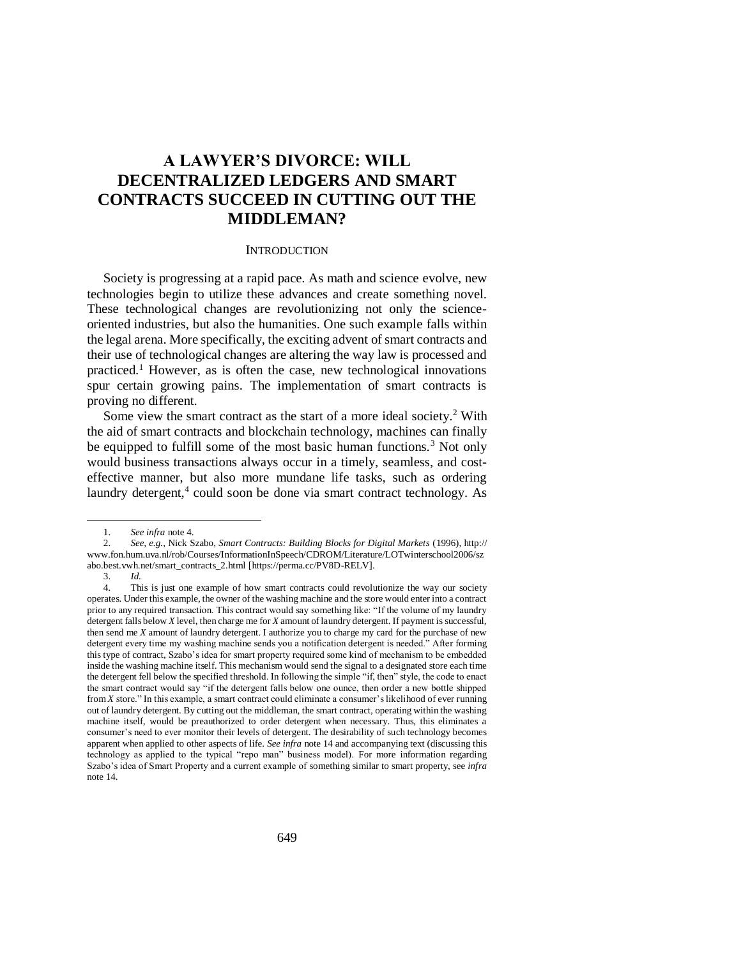# **A LAWYER'S DIVORCE: WILL DECENTRALIZED LEDGERS AND SMART CONTRACTS SUCCEED IN CUTTING OUT THE MIDDLEMAN?**

#### <span id="page-0-1"></span>**INTRODUCTION**

Society is progressing at a rapid pace. As math and science evolve, new technologies begin to utilize these advances and create something novel. These technological changes are revolutionizing not only the scienceoriented industries, but also the humanities. One such example falls within the legal arena. More specifically, the exciting advent of smart contracts and their use of technological changes are altering the way law is processed and practiced.<sup>1</sup> However, as is often the case, new technological innovations spur certain growing pains. The implementation of smart contracts is proving no different.

Some view the smart contract as the start of a more ideal society.<sup>2</sup> With the aid of smart contracts and blockchain technology, machines can finally be equipped to fulfill some of the most basic human functions.<sup>3</sup> Not only would business transactions always occur in a timely, seamless, and costeffective manner, but also more mundane life tasks, such as ordering laundry detergent,<sup>4</sup> could soon be done via smart contract technology. As

<span id="page-0-0"></span><sup>1.</sup> *See infra* not[e 4.](#page-0-0) 

<sup>2.</sup> *See, e.g.*, Nick Szabo, *Smart Contracts: Building Blocks for Digital Markets* (1996), http:// www.fon.hum.uva.nl/rob/Courses/InformationInSpeech/CDROM/Literature/LOTwinterschool2006/sz abo.best.vwh.net/smart\_contracts\_2.html [https://perma.cc/PV8D-RELV].

<sup>3.</sup> *Id.*

<sup>4.</sup> This is just one example of how smart contracts could revolutionize the way our society operates. Under this example, the owner of the washing machine and the store would enter into a contract prior to any required transaction. This contract would say something like: "If the volume of my laundry detergent falls below *X* level, then charge me for *X* amount of laundry detergent. If payment is successful, then send me *X* amount of laundry detergent. I authorize you to charge my card for the purchase of new detergent every time my washing machine sends you a notification detergent is needed." After forming this type of contract, Szabo's idea for smart property required some kind of mechanism to be embedded inside the washing machine itself. This mechanism would send the signal to a designated store each time the detergent fell below the specified threshold. In following the simple "if, then" style, the code to enact the smart contract would say "if the detergent falls below one ounce, then order a new bottle shipped from *X* store." In this example, a smart contract could eliminate a consumer's likelihood of ever running out of laundry detergent. By cutting out the middleman, the smart contract, operating within the washing machine itself, would be preauthorized to order detergent when necessary. Thus, this eliminates a consumer's need to ever monitor their levels of detergent. The desirability of such technology becomes apparent when applied to other aspects of life. *See infra* not[e 14](#page-2-0) and accompanying text (discussing this technology as applied to the typical "repo man" business model). For more information regarding Szabo's idea of Smart Property and a current example of something similar to smart property, see *infra*  note [14.](#page-2-0)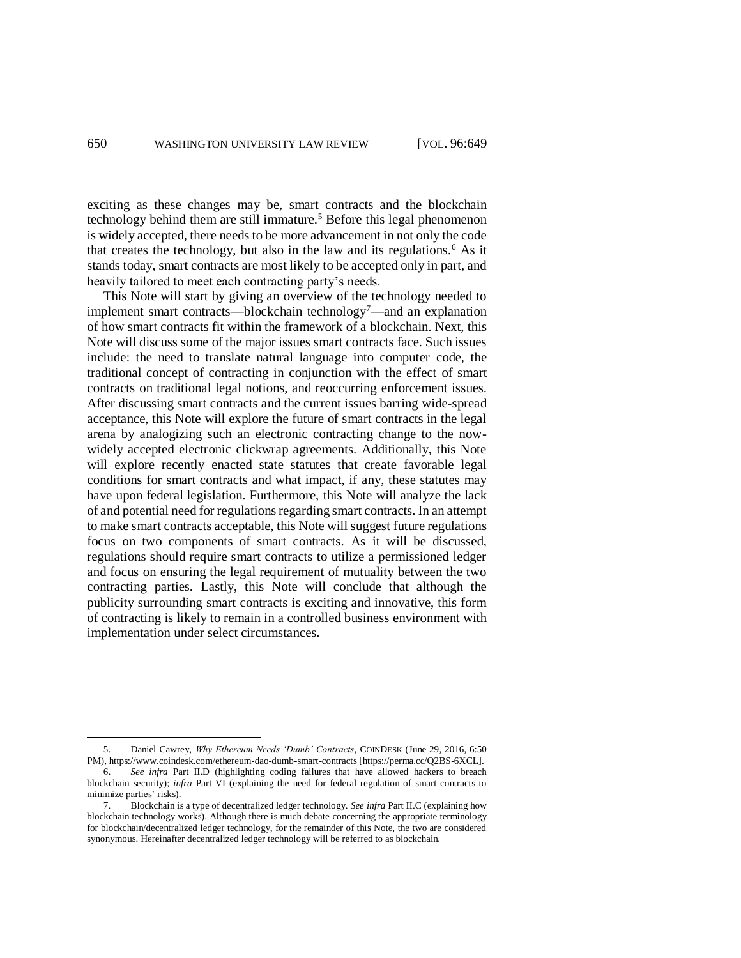<span id="page-1-0"></span>exciting as these changes may be, smart contracts and the blockchain technology behind them are still immature.<sup>5</sup> Before this legal phenomenon is widely accepted, there needs to be more advancement in not only the code that creates the technology, but also in the law and its regulations.<sup>6</sup> As it stands today, smart contracts are most likely to be accepted only in part, and heavily tailored to meet each contracting party's needs.

This Note will start by giving an overview of the technology needed to implement smart contracts—blockchain technology<sup>7</sup>—and an explanation of how smart contracts fit within the framework of a blockchain. Next, this Note will discuss some of the major issues smart contracts face. Such issues include: the need to translate natural language into computer code, the traditional concept of contracting in conjunction with the effect of smart contracts on traditional legal notions, and reoccurring enforcement issues. After discussing smart contracts and the current issues barring wide-spread acceptance, this Note will explore the future of smart contracts in the legal arena by analogizing such an electronic contracting change to the nowwidely accepted electronic clickwrap agreements. Additionally, this Note will explore recently enacted state statutes that create favorable legal conditions for smart contracts and what impact, if any, these statutes may have upon federal legislation. Furthermore, this Note will analyze the lack of and potential need for regulations regarding smart contracts. In an attempt to make smart contracts acceptable, this Note will suggest future regulations focus on two components of smart contracts. As it will be discussed, regulations should require smart contracts to utilize a permissioned ledger and focus on ensuring the legal requirement of mutuality between the two contracting parties. Lastly, this Note will conclude that although the publicity surrounding smart contracts is exciting and innovative, this form of contracting is likely to remain in a controlled business environment with implementation under select circumstances.

<sup>5.</sup> Daniel Cawrey, *Why Ethereum Needs 'Dumb' Contracts*, COINDESK (June 29, 2016, 6:50 PM), https://www.coindesk.com/ethereum-dao-dumb-smart-contracts [https://perma.cc/Q2BS-6XCL].

<sup>6.</sup> *See infra* Part II.D (highlighting coding failures that have allowed hackers to breach blockchain security); *infra* Part VI (explaining the need for federal regulation of smart contracts to minimize parties' risks).

<sup>7.</sup> Blockchain is a type of decentralized ledger technology. *See infra* Part II.C (explaining how blockchain technology works). Although there is much debate concerning the appropriate terminology for blockchain/decentralized ledger technology, for the remainder of this Note, the two are considered synonymous. Hereinafter decentralized ledger technology will be referred to as blockchain.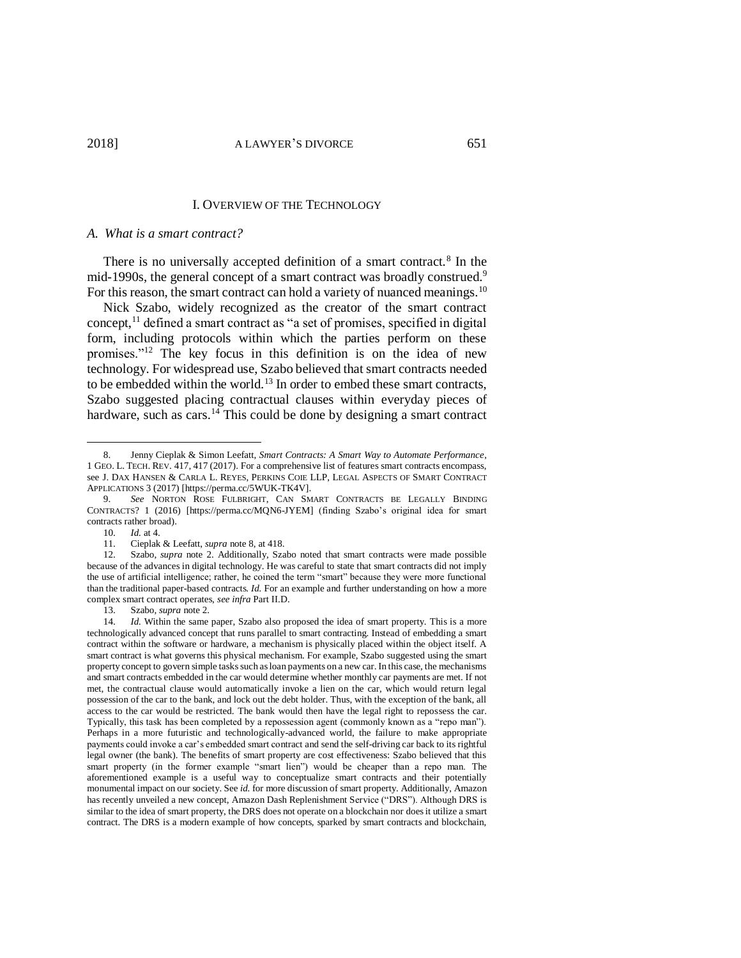#### <span id="page-2-2"></span><span id="page-2-1"></span>I. OVERVIEW OF THE TECHNOLOGY

#### *A. What is a smart contract?*

There is no universally accepted definition of a smart contract.<sup>8</sup> In the mid-1990s, the general concept of a smart contract was broadly construed.<sup>9</sup> For this reason, the smart contract can hold a variety of nuanced meanings.<sup>10</sup>

Nick Szabo, widely recognized as the creator of the smart contract concept, $<sup>11</sup>$  defined a smart contract as "a set of promises, specified in digital</sup> form, including protocols within which the parties perform on these promises."<sup>12</sup> The key focus in this definition is on the idea of new technology. For widespread use, Szabo believed that smart contracts needed to be embedded within the world.<sup>13</sup> In order to embed these smart contracts, Szabo suggested placing contractual clauses within everyday pieces of hardware, such as cars.<sup>14</sup> This could be done by designing a smart contract

<span id="page-2-0"></span><sup>8.</sup> Jenny Cieplak & Simon Leefatt, *Smart Contracts: A Smart Way to Automate Performance*, 1 GEO. L. TECH. REV. 417, 417 (2017). For a comprehensive list of features smart contracts encompass, see J. DAX HANSEN & CARLA L. REYES, PERKINS COIE LLP, LEGAL ASPECTS OF SMART CONTRACT APPLICATIONS 3 (2017) [https://perma.cc/5WUK-TK4V].

<sup>9.</sup> *See* NORTON ROSE FULBRIGHT, CAN SMART CONTRACTS BE LEGALLY BINDING CONTRACTS? 1 (2016) [https://perma.cc/MQN6-JYEM] (finding Szabo's original idea for smart contracts rather broad).

<sup>10.</sup> *Id.* at 4.

<sup>11.</sup> Cieplak & Leefatt, *supra* note [8,](#page-2-1) at 418.

<sup>12.</sup> Szabo, *supra* note [2.](#page-0-1) Additionally, Szabo noted that smart contracts were made possible because of the advances in digital technology. He was careful to state that smart contracts did not imply the use of artificial intelligence; rather, he coined the term "smart" because they were more functional than the traditional paper-based contracts. *Id.* For an example and further understanding on how a more complex smart contract operates, *see infra* Part II.D.

<sup>13.</sup> Szabo, *supra* not[e 2.](#page-0-1)

<sup>14.</sup> *Id.* Within the same paper, Szabo also proposed the idea of smart property. This is a more technologically advanced concept that runs parallel to smart contracting. Instead of embedding a smart contract within the software or hardware, a mechanism is physically placed within the object itself. A smart contract is what governs this physical mechanism. For example, Szabo suggested using the smart property concept to govern simple tasks such as loan payments on a new car. In this case, the mechanisms and smart contracts embedded in the car would determine whether monthly car payments are met. If not met, the contractual clause would automatically invoke a lien on the car, which would return legal possession of the car to the bank, and lock out the debt holder. Thus, with the exception of the bank, all access to the car would be restricted. The bank would then have the legal right to repossess the car. Typically, this task has been completed by a repossession agent (commonly known as a "repo man"). Perhaps in a more futuristic and technologically-advanced world, the failure to make appropriate payments could invoke a car's embedded smart contract and send the self-driving car back to its rightful legal owner (the bank). The benefits of smart property are cost effectiveness: Szabo believed that this smart property (in the former example "smart lien") would be cheaper than a repo man. The aforementioned example is a useful way to conceptualize smart contracts and their potentially monumental impact on our society. See *id.* for more discussion of smart property. Additionally, Amazon has recently unveiled a new concept, Amazon Dash Replenishment Service ("DRS"). Although DRS is similar to the idea of smart property, the DRS does not operate on a blockchain nor does it utilize a smart contract. The DRS is a modern example of how concepts, sparked by smart contracts and blockchain,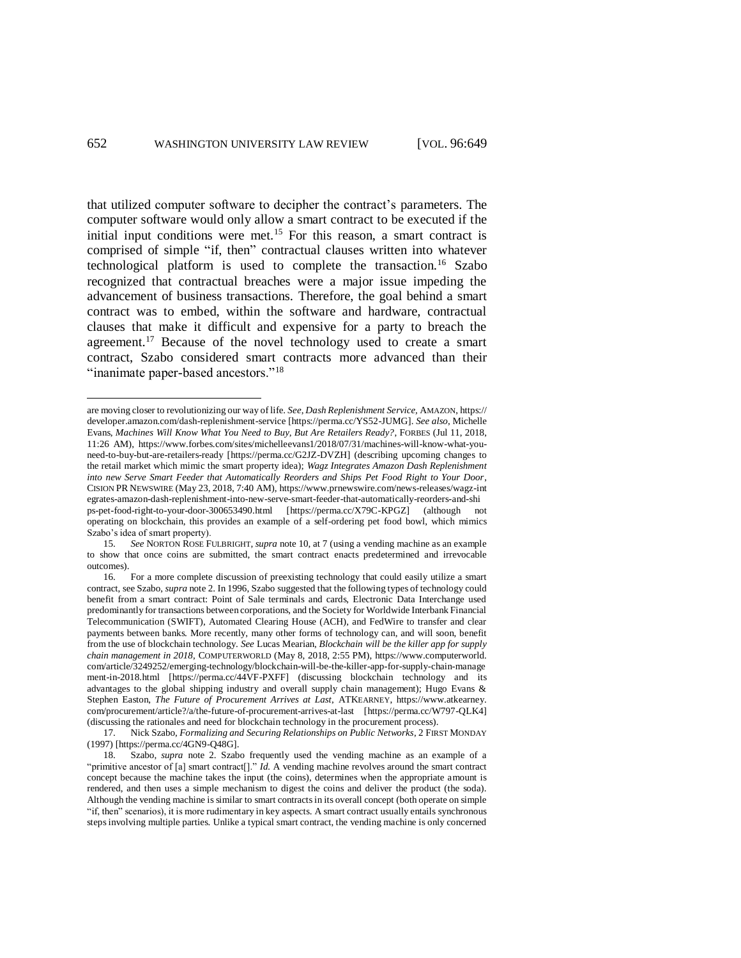<span id="page-3-0"></span> $\overline{a}$ 

<span id="page-3-1"></span>that utilized computer software to decipher the contract's parameters. The computer software would only allow a smart contract to be executed if the initial input conditions were met.<sup>15</sup> For this reason, a smart contract is comprised of simple "if, then" contractual clauses written into whatever technological platform is used to complete the transaction.<sup>16</sup> Szabo recognized that contractual breaches were a major issue impeding the advancement of business transactions. Therefore, the goal behind a smart contract was to embed, within the software and hardware, contractual clauses that make it difficult and expensive for a party to breach the agreement.<sup>17</sup> Because of the novel technology used to create a smart contract, Szabo considered smart contracts more advanced than their "inanimate paper-based ancestors."<sup>18</sup>

are moving closer to revolutionizing our way of life. *See*, *Dash Replenishment Service,* AMAZON, https:// developer.amazon.com/dash-replenishment-service [https://perma.cc/YS52-JUMG]. *See also*, Michelle Evans, *Machines Will Know What You Need to Buy, But Are Retailers Ready?*, FORBES (Jul 11, 2018, 11:26 AM), https://www.forbes.com/sites/michelleevans1/2018/07/31/machines-will-know-what-youneed-to-buy-but-are-retailers-ready [https://perma.cc/G2JZ-DVZH] (describing upcoming changes to the retail market which mimic the smart property idea); *Wagz Integrates Amazon Dash Replenishment into new Serve Smart Feeder that Automatically Reorders and Ships Pet Food Right to Your Door*, CISION PR NEWSWIRE (May 23, 2018, 7:40 AM), https://www.prnewswire.com/news-releases/wagz-int egrates-amazon-dash-replenishment-into-new-serve-smart-feeder-that-automatically-reorders-and-shi ps-pet-food-right-to-your-door-300653490.html [https://perma.cc/X79C-KPGZ] (although not operating on blockchain, this provides an example of a self-ordering pet food bowl, which mimics Szabo's idea of smart property).

<sup>15.</sup> *See* NORTON ROSE FULBRIGHT, *supra* note [10,](#page-2-2) at 7 (using a vending machine as an example to show that once coins are submitted, the smart contract enacts predetermined and irrevocable outcomes).

<sup>16.</sup> For a more complete discussion of preexisting technology that could easily utilize a smart contract, see Szabo, *supra* not[e 2.](#page-0-1) In 1996, Szabo suggested that the following types of technology could benefit from a smart contract: Point of Sale terminals and cards, Electronic Data Interchange used predominantly for transactions between corporations, and the Society for Worldwide Interbank Financial Telecommunication (SWIFT), Automated Clearing House (ACH), and FedWire to transfer and clear payments between banks. More recently, many other forms of technology can, and will soon, benefit from the use of blockchain technology. *See* Lucas Mearian, *Blockchain will be the killer app for supply chain management in 2018*, COMPUTERWORLD (May 8, 2018, 2:55 PM), https://www.computerworld. com/article/3249252/emerging-technology/blockchain-will-be-the-killer-app-for-supply-chain-manage ment-in-2018.html [https://perma.cc/44VF-PXFF] (discussing blockchain technology and its advantages to the global shipping industry and overall supply chain management); Hugo Evans & Stephen Easton, *The Future of Procurement Arrives at Last*, ATKEARNEY, https://www.atkearney. com/procurement/article?/a/the-future-of-procurement-arrives-at-last [https://perma.cc/W797-QLK4] (discussing the rationales and need for blockchain technology in the procurement process).

<sup>17.</sup> Nick Szabo, *Formalizing and Securing Relationships on Public Networks*, 2 FIRST MONDAY (1997) [https://perma.cc/4GN9-Q48G].

<sup>18.</sup> Szabo, *supra* note [2.](#page-0-1) Szabo frequently used the vending machine as an example of a "primitive ancestor of [a] smart contract[]." *Id.* A vending machine revolves around the smart contract concept because the machine takes the input (the coins), determines when the appropriate amount is rendered, and then uses a simple mechanism to digest the coins and deliver the product (the soda). Although the vending machine is similar to smart contracts in its overall concept (both operate on simple "if, then" scenarios), it is more rudimentary in key aspects. A smart contract usually entails synchronous steps involving multiple parties. Unlike a typical smart contract, the vending machine is only concerned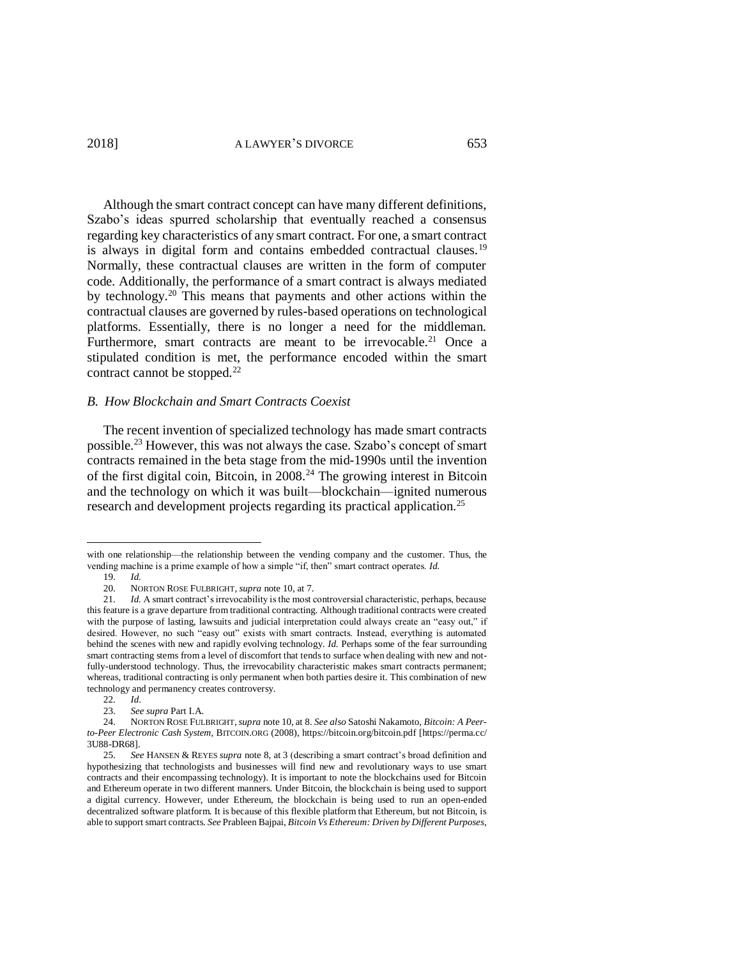Although the smart contract concept can have many different definitions, Szabo's ideas spurred scholarship that eventually reached a consensus regarding key characteristics of any smart contract. For one, a smart contract is always in digital form and contains embedded contractual clauses.<sup>19</sup> Normally, these contractual clauses are written in the form of computer code. Additionally, the performance of a smart contract is always mediated by technology.<sup>20</sup> This means that payments and other actions within the contractual clauses are governed by rules-based operations on technological platforms. Essentially, there is no longer a need for the middleman. Furthermore, smart contracts are meant to be irrevocable.<sup>21</sup> Once a stipulated condition is met, the performance encoded within the smart contract cannot be stopped.<sup>22</sup>

## *B. How Blockchain and Smart Contracts Coexist*

<span id="page-4-0"></span>The recent invention of specialized technology has made smart contracts possible.<sup>23</sup> However, this was not always the case. Szabo's concept of smart contracts remained in the beta stage from the mid-1990s until the invention of the first digital coin, Bitcoin, in  $2008<sup>24</sup>$  The growing interest in Bitcoin and the technology on which it was built—blockchain—ignited numerous research and development projects regarding its practical application.<sup>25</sup>

with one relationship—the relationship between the vending company and the customer. Thus, the vending machine is a prime example of how a simple "if, then" smart contract operates. *Id.*

<sup>19.</sup> *Id.* 

<sup>20.</sup> NORTON ROSE FULBRIGHT, *supra* note [10,](#page-2-2) at 7.

<sup>21.</sup> *Id.* A smart contract's irrevocability is the most controversial characteristic, perhaps, because this feature is a grave departure from traditional contracting. Although traditional contracts were created with the purpose of lasting, lawsuits and judicial interpretation could always create an "easy out," if desired. However, no such "easy out" exists with smart contracts. Instead, everything is automated behind the scenes with new and rapidly evolving technology. *Id.* Perhaps some of the fear surrounding smart contracting stems from a level of discomfort that tends to surface when dealing with new and notfully-understood technology. Thus, the irrevocability characteristic makes smart contracts permanent; whereas, traditional contracting is only permanent when both parties desire it. This combination of new technology and permanency creates controversy.

<sup>22.</sup> *Id*.

<sup>23.</sup> *See supra* Part I.A.

<sup>24.</sup> NORTON ROSE FULBRIGHT,*supra* not[e 10,](#page-2-2) at 8. *See also* Satoshi Nakamoto, *Bitcoin: A Peerto-Peer Electronic Cash System*, BITCOIN.ORG (2008), https://bitcoin.org/bitcoin.pdf [https://perma.cc/ 3U88-DR68].

<sup>25.</sup> *See* HANSEN & REYES *supra* note [8,](#page-2-1) at 3 (describing a smart contract's broad definition and hypothesizing that technologists and businesses will find new and revolutionary ways to use smart contracts and their encompassing technology). It is important to note the blockchains used for Bitcoin and Ethereum operate in two different manners. Under Bitcoin, the blockchain is being used to support a digital currency. However, under Ethereum, the blockchain is being used to run an open-ended decentralized software platform. It is because of this flexible platform that Ethereum, but not Bitcoin, is able to support smart contracts. *See* Prableen Bajpai, *Bitcoin Vs Ethereum: Driven by Different Purposes,*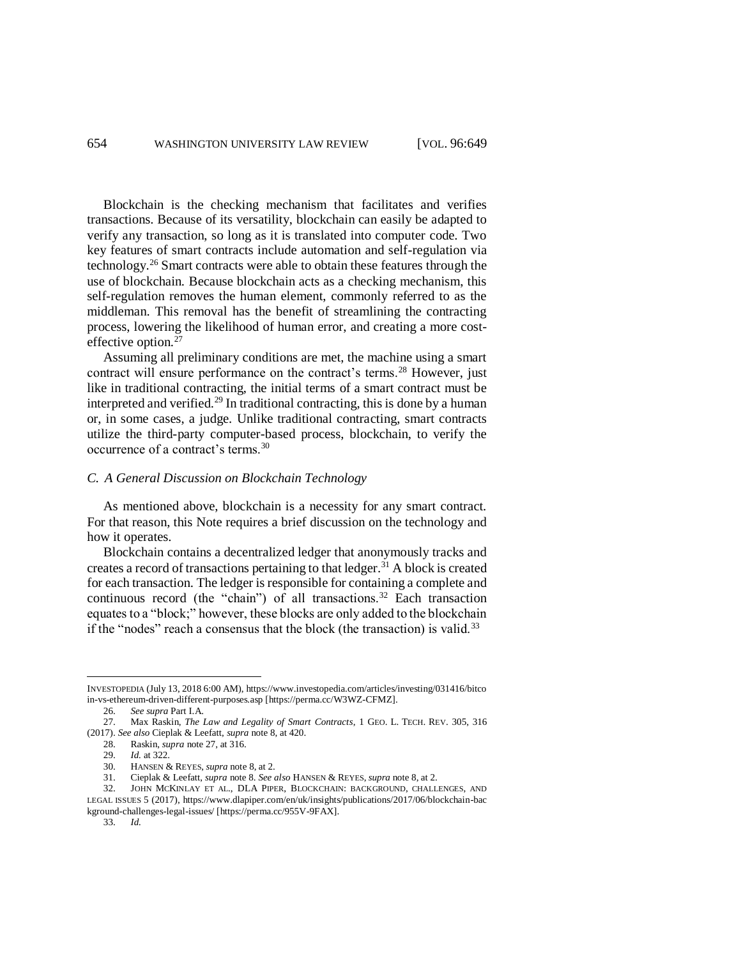Blockchain is the checking mechanism that facilitates and verifies transactions. Because of its versatility, blockchain can easily be adapted to verify any transaction, so long as it is translated into computer code. Two key features of smart contracts include automation and self-regulation via technology.<sup>26</sup> Smart contracts were able to obtain these features through the use of blockchain. Because blockchain acts as a checking mechanism, this self-regulation removes the human element, commonly referred to as the middleman. This removal has the benefit of streamlining the contracting process, lowering the likelihood of human error, and creating a more costeffective option.<sup>27</sup>

<span id="page-5-0"></span>Assuming all preliminary conditions are met, the machine using a smart contract will ensure performance on the contract's terms.<sup>28</sup> However, just like in traditional contracting, the initial terms of a smart contract must be interpreted and verified.<sup>29</sup> In traditional contracting, this is done by a human or, in some cases, a judge. Unlike traditional contracting, smart contracts utilize the third-party computer-based process, blockchain, to verify the occurrence of a contract's terms.<sup>30</sup>

#### *C. A General Discussion on Blockchain Technology*

As mentioned above, blockchain is a necessity for any smart contract. For that reason, this Note requires a brief discussion on the technology and how it operates.

<span id="page-5-1"></span>Blockchain contains a decentralized ledger that anonymously tracks and creates a record of transactions pertaining to that ledger.<sup>31</sup> A block is created for each transaction. The ledger is responsible for containing a complete and continuous record (the "chain") of all transactions.<sup>32</sup> Each transaction equates to a "block;" however, these blocks are only added to the blockchain if the "nodes" reach a consensus that the block (the transaction) is valid.<sup>33</sup>

INVESTOPEDIA (July 13, 2018 6:00 AM), https://www.investopedia.com/articles/investing/031416/bitco in-vs-ethereum-driven-different-purposes.asp [https://perma.cc/W3WZ-CFMZ].

<sup>26.</sup> *See supra* Part I.A.

<sup>27.</sup> Max Raskin, *The Law and Legality of Smart Contracts*, 1 GEO. L. TECH. REV. 305, 316 (2017). *See also* Cieplak & Leefatt, *supra* not[e 8,](#page-2-1) at 420.

<sup>28.</sup> Raskin, *supra* not[e 27,](#page-5-0) at 316.

<sup>29.</sup> *Id.* at 322.

<sup>30.</sup> HANSEN & REYES, *supra* not[e 8,](#page-2-1) at 2.

<sup>31.</sup> Cieplak & Leefatt, *supra* note [8.](#page-2-1) *See also* HANSEN & REYES, *supra* not[e 8,](#page-2-1) at 2.

<sup>32.</sup> JOHN MCKINLAY ET AL., DLA PIPER, BLOCKCHAIN: BACKGROUND, CHALLENGES, AND LEGAL ISSUES 5 (2017), https://www.dlapiper.com/en/uk/insights/publications/2017/06/blockchain-bac kground-challenges-legal-issues/ [https://perma.cc/955V-9FAX].

<sup>33.</sup> *Id.*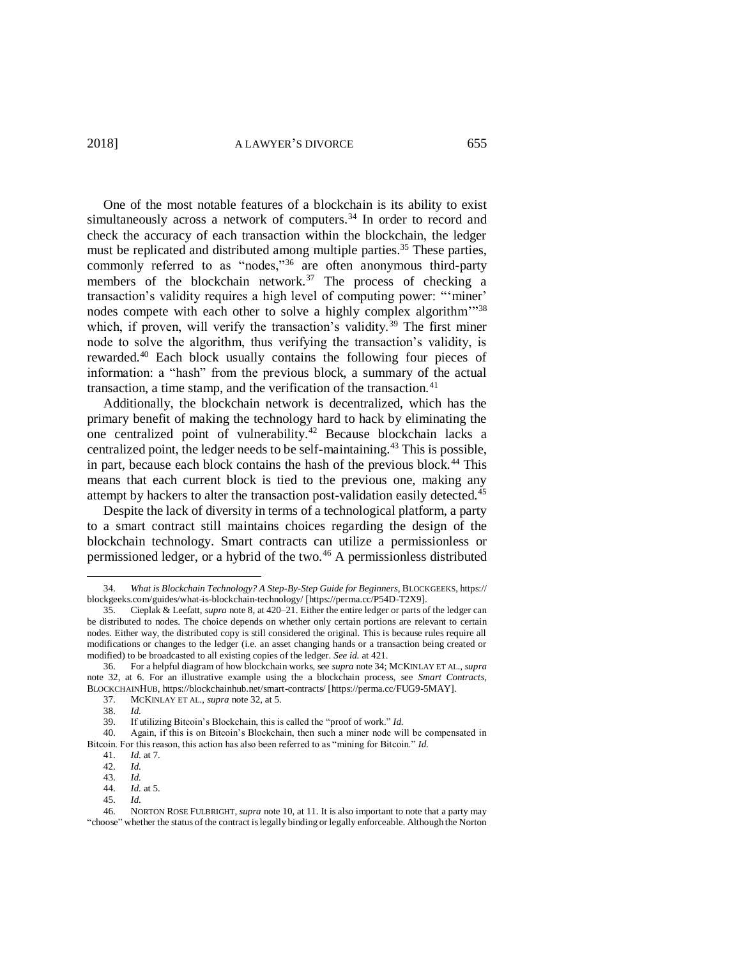<span id="page-6-0"></span>One of the most notable features of a blockchain is its ability to exist simultaneously across a network of computers.<sup>34</sup> In order to record and check the accuracy of each transaction within the blockchain, the ledger must be replicated and distributed among multiple parties.<sup>35</sup> These parties, commonly referred to as "nodes,"<sup>36</sup> are often anonymous third-party members of the blockchain network.<sup>37</sup> The process of checking a transaction's validity requires a high level of computing power: "'miner' nodes compete with each other to solve a highly complex algorithm<sup>1738</sup> which, if proven, will verify the transaction's validity.<sup>39</sup> The first miner node to solve the algorithm, thus verifying the transaction's validity, is rewarded.<sup>40</sup> Each block usually contains the following four pieces of information: a "hash" from the previous block, a summary of the actual transaction, a time stamp, and the verification of the transaction. $41$ 

Additionally, the blockchain network is decentralized, which has the primary benefit of making the technology hard to hack by eliminating the one centralized point of vulnerability.<sup>42</sup> Because blockchain lacks a centralized point, the ledger needs to be self-maintaining. <sup>43</sup> This is possible, in part, because each block contains the hash of the previous block.<sup>44</sup> This means that each current block is tied to the previous one, making any attempt by hackers to alter the transaction post-validation easily detected.<sup>45</sup>

Despite the lack of diversity in terms of a technological platform, a party to a smart contract still maintains choices regarding the design of the blockchain technology. Smart contracts can utilize a permissionless or permissioned ledger, or a hybrid of the two.<sup>46</sup> A permissionless distributed

<sup>34.</sup> *What is Blockchain Technology? A Step-By-Step Guide for Beginners*, BLOCKGEEKS, https:// blockgeeks.com/guides/what-is-blockchain-technology/ [https://perma.cc/P54D-T2X9].

<sup>35.</sup> Cieplak & Leefatt, *supra* not[e 8,](#page-2-1) at 420–21. Either the entire ledger or parts of the ledger can be distributed to nodes. The choice depends on whether only certain portions are relevant to certain nodes. Either way, the distributed copy is still considered the original. This is because rules require all modifications or changes to the ledger (i.e. an asset changing hands or a transaction being created or modified) to be broadcasted to all existing copies of the ledger. *See id.* at 421.

<sup>36.</sup> For a helpful diagram of how blockchain works, see *supra* note [34;](#page-6-0) MCKINLAY ET AL., *supra*  note [32,](#page-5-1) at 6. For an illustrative example using the a blockchain process, see *Smart Contracts*, BLOCKCHAINHUB, https://blockchainhub.net/smart-contracts/ [https://perma.cc/FUG9-5MAY].

<sup>37.</sup> MCKINLAY ET AL., *supra* not[e 32,](#page-5-1) at 5.

<sup>38.</sup> *Id.*

<sup>39.</sup> If utilizing Bitcoin's Blockchain, this is called the "proof of work." *Id.*

<sup>40.</sup> Again, if this is on Bitcoin's Blockchain, then such a miner node will be compensated in Bitcoin. For this reason, this action has also been referred to as "mining for Bitcoin." *Id.*

<sup>41.</sup> *Id.* at 7.

<sup>42.</sup> *Id.*

<sup>43.</sup> *Id.*

<sup>44.</sup> *Id.* at 5. 45. *Id.*

<sup>46.</sup> NORTON ROSE FULBRIGHT, *supra* not[e 10,](#page-2-2) at 11. It is also important to note that a party may "choose" whether the status of the contract is legally binding or legally enforceable. Although the Norton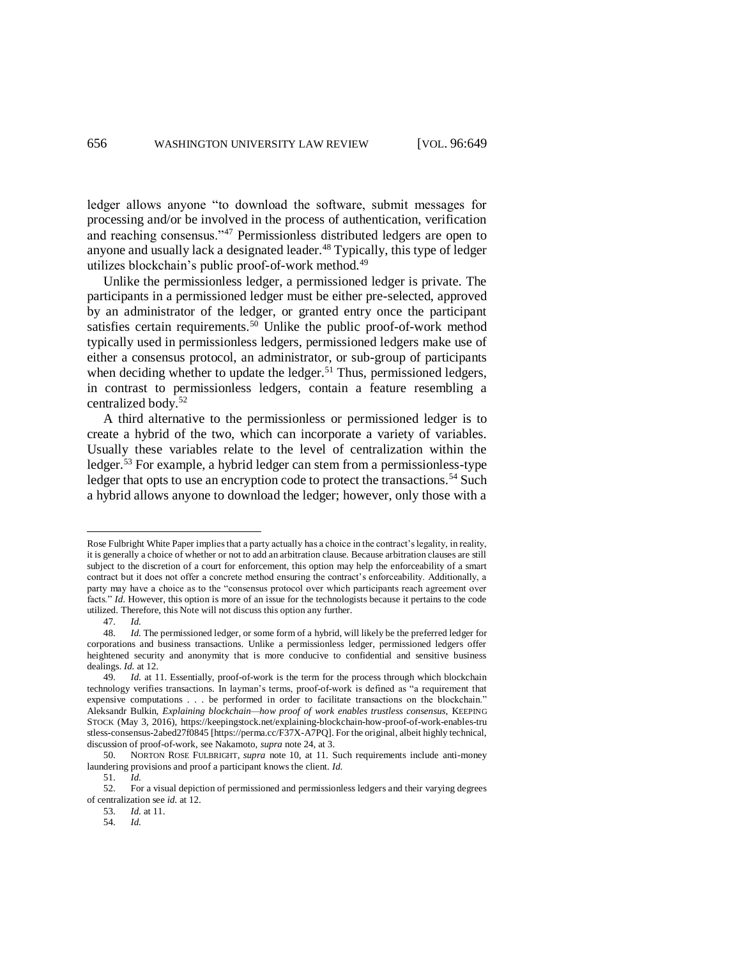ledger allows anyone "to download the software, submit messages for processing and/or be involved in the process of authentication, verification and reaching consensus."<sup>47</sup> Permissionless distributed ledgers are open to anyone and usually lack a designated leader. <sup>48</sup> Typically, this type of ledger utilizes blockchain's public proof-of-work method.<sup>49</sup>

Unlike the permissionless ledger, a permissioned ledger is private. The participants in a permissioned ledger must be either pre-selected, approved by an administrator of the ledger, or granted entry once the participant satisfies certain requirements.<sup>50</sup> Unlike the public proof-of-work method typically used in permissionless ledgers, permissioned ledgers make use of either a consensus protocol, an administrator, or sub-group of participants when deciding whether to update the ledger.<sup>51</sup> Thus, permissioned ledgers, in contrast to permissionless ledgers, contain a feature resembling a centralized body.<sup>52</sup>

A third alternative to the permissionless or permissioned ledger is to create a hybrid of the two, which can incorporate a variety of variables. Usually these variables relate to the level of centralization within the ledger.<sup>53</sup> For example, a hybrid ledger can stem from a permissionless-type ledger that opts to use an encryption code to protect the transactions.<sup>54</sup> Such a hybrid allows anyone to download the ledger; however, only those with a

Rose Fulbright White Paper implies that a party actually has a choice in the contract's legality, in reality, it is generally a choice of whether or not to add an arbitration clause. Because arbitration clauses are still subject to the discretion of a court for enforcement, this option may help the enforceability of a smart contract but it does not offer a concrete method ensuring the contract's enforceability. Additionally, a party may have a choice as to the "consensus protocol over which participants reach agreement over facts." *Id*. However, this option is more of an issue for the technologists because it pertains to the code utilized. Therefore, this Note will not discuss this option any further.

<sup>47.</sup> *Id.* 

<sup>48.</sup> *Id.* The permissioned ledger, or some form of a hybrid, will likely be the preferred ledger for corporations and business transactions. Unlike a permissionless ledger, permissioned ledgers offer heightened security and anonymity that is more conducive to confidential and sensitive business dealings. *Id.* at 12.

<sup>49.</sup> *Id.* at 11. Essentially, proof-of-work is the term for the process through which blockchain technology verifies transactions. In layman's terms, proof-of-work is defined as "a requirement that expensive computations . . . be performed in order to facilitate transactions on the blockchain." Aleksandr Bulkin, *Explaining blockchain—how proof of work enables trustless consensus,* KEEPING STOCK (May 3, 2016), https://keepingstock.net/explaining-blockchain-how-proof-of-work-enables-tru stless-consensus-2abed27f0845 [https://perma.cc/F37X-A7PQ]. For the original, albeit highly technical, discussion of proof-of-work, see Nakamoto, *supra* not[e 24,](#page-4-0) at 3.

<sup>50.</sup> NORTON ROSE FULBRIGHT, *supra* note [10,](#page-2-2) at 11. Such requirements include anti-money laundering provisions and proof a participant knows the client. *Id.*

<sup>51.</sup> *Id.*

<sup>52.</sup> For a visual depiction of permissioned and permissionless ledgers and their varying degrees of centralization see *id.* at 12.

<sup>53.</sup> *Id.* at 11.

<sup>54.</sup> *Id.*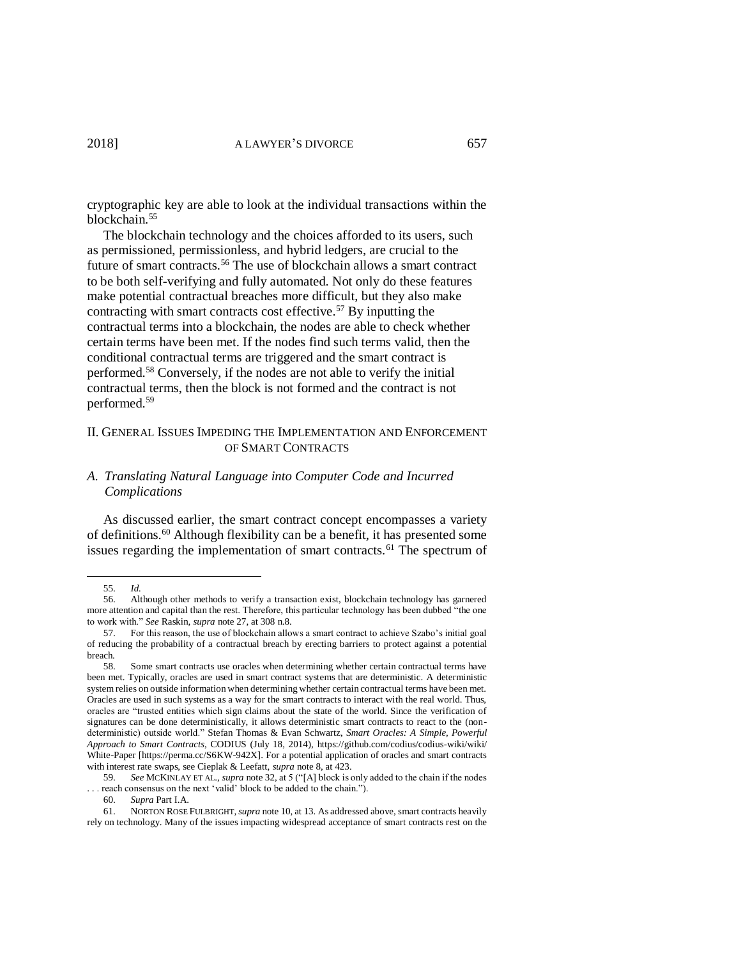cryptographic key are able to look at the individual transactions within the blockchain.<sup>55</sup>

The blockchain technology and the choices afforded to its users, such as permissioned, permissionless, and hybrid ledgers, are crucial to the future of smart contracts.<sup>56</sup> The use of blockchain allows a smart contract to be both self-verifying and fully automated. Not only do these features make potential contractual breaches more difficult, but they also make contracting with smart contracts cost effective. <sup>57</sup> By inputting the contractual terms into a blockchain, the nodes are able to check whether certain terms have been met. If the nodes find such terms valid, then the conditional contractual terms are triggered and the smart contract is performed.<sup>58</sup> Conversely, if the nodes are not able to verify the initial contractual terms, then the block is not formed and the contract is not performed.<sup>59</sup>

### II. GENERAL ISSUES IMPEDING THE IMPLEMENTATION AND ENFORCEMENT OF SMART CONTRACTS

# *A. Translating Natural Language into Computer Code and Incurred Complications*

As discussed earlier, the smart contract concept encompasses a variety of definitions.<sup>60</sup> Although flexibility can be a benefit, it has presented some issues regarding the implementation of smart contracts.<sup>61</sup> The spectrum of

 $\overline{a}$ 

61. NORTON ROSE FULBRIGHT,*supra* not[e 10,](#page-2-2) at 13. As addressed above, smart contracts heavily rely on technology. Many of the issues impacting widespread acceptance of smart contracts rest on the

<sup>55.</sup> *Id.*

<sup>56.</sup> Although other methods to verify a transaction exist, blockchain technology has garnered more attention and capital than the rest. Therefore, this particular technology has been dubbed "the one to work with." *See* Raskin, *supra* note [27,](#page-5-0) at 308 n.8.

<sup>57.</sup> For this reason, the use of blockchain allows a smart contract to achieve Szabo's initial goal of reducing the probability of a contractual breach by erecting barriers to protect against a potential breach.

<sup>58.</sup> Some smart contracts use oracles when determining whether certain contractual terms have been met. Typically, oracles are used in smart contract systems that are deterministic. A deterministic system relies on outside information when determining whether certain contractual terms have been met. Oracles are used in such systems as a way for the smart contracts to interact with the real world. Thus, oracles are "trusted entities which sign claims about the state of the world. Since the verification of signatures can be done deterministically, it allows deterministic smart contracts to react to the (nondeterministic) outside world." Stefan Thomas & Evan Schwartz, *Smart Oracles: A Simple, Powerful Approach to Smart Contracts*, CODIUS (July 18, 2014), https://github.com/codius/codius-wiki/wiki/ White-Paper [https://perma.cc/S6KW-942X]. For a potential application of oracles and smart contracts with interest rate swaps, see Cieplak & Leefatt, *supra* not[e 8,](#page-2-1) at 423.

<sup>59.</sup> *See* MCKINLAY ET AL., *supra* not[e 32,](#page-5-1) at 5 ("[A] block is only added to the chain if the nodes . . . reach consensus on the next 'valid' block to be added to the chain.").

<sup>60.</sup> *Supra* Part I.A.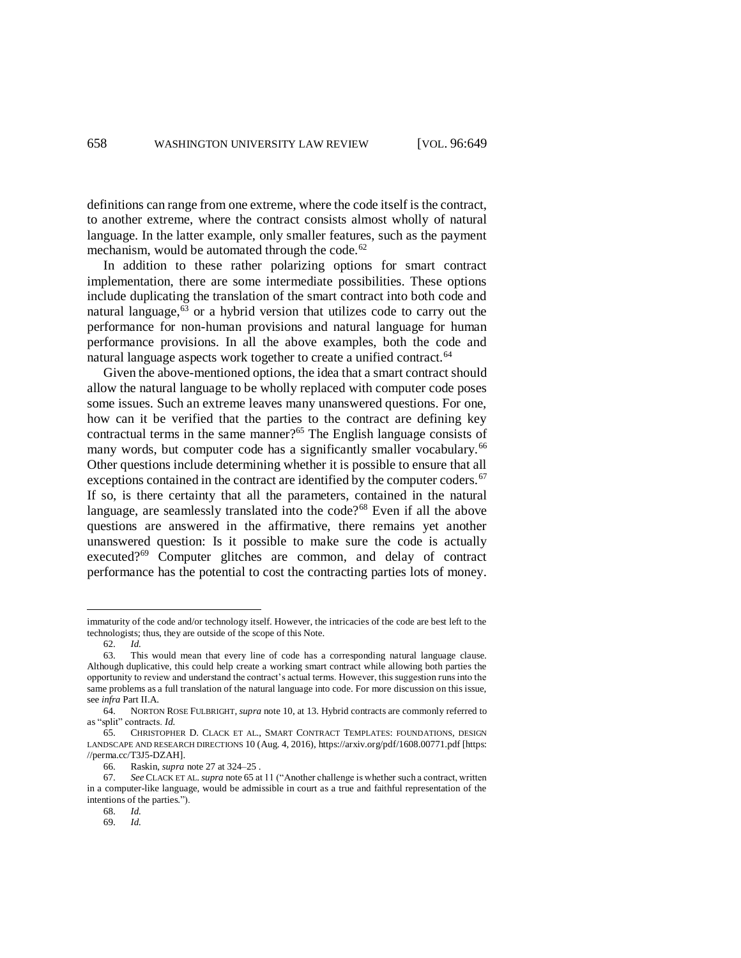definitions can range from one extreme, where the code itself is the contract, to another extreme, where the contract consists almost wholly of natural language. In the latter example, only smaller features, such as the payment mechanism, would be automated through the code. $62$ 

In addition to these rather polarizing options for smart contract implementation, there are some intermediate possibilities. These options include duplicating the translation of the smart contract into both code and natural language, <sup>63</sup> or a hybrid version that utilizes code to carry out the performance for non-human provisions and natural language for human performance provisions. In all the above examples, both the code and natural language aspects work together to create a unified contract.<sup>64</sup>

<span id="page-9-0"></span>Given the above-mentioned options, the idea that a smart contract should allow the natural language to be wholly replaced with computer code poses some issues. Such an extreme leaves many unanswered questions. For one, how can it be verified that the parties to the contract are defining key contractual terms in the same manner?<sup>65</sup> The English language consists of many words, but computer code has a significantly smaller vocabulary.<sup>66</sup> Other questions include determining whether it is possible to ensure that all exceptions contained in the contract are identified by the computer coders.<sup>67</sup> If so, is there certainty that all the parameters, contained in the natural language, are seamlessly translated into the code?<sup>68</sup> Even if all the above questions are answered in the affirmative, there remains yet another unanswered question: Is it possible to make sure the code is actually executed?<sup>69</sup> Computer glitches are common, and delay of contract performance has the potential to cost the contracting parties lots of money.

immaturity of the code and/or technology itself. However, the intricacies of the code are best left to the technologists; thus, they are outside of the scope of this Note.

<sup>62.</sup> *Id.*

<sup>63.</sup> This would mean that every line of code has a corresponding natural language clause. Although duplicative, this could help create a working smart contract while allowing both parties the opportunity to review and understand the contract's actual terms. However, this suggestion runs into the same problems as a full translation of the natural language into code. For more discussion on this issue, see *infra* Part II.A.

<sup>64.</sup> NORTON ROSE FULBRIGHT, *supra* note [10,](#page-2-2) at 13. Hybrid contracts are commonly referred to as "split" contracts. *Id.*

<sup>65.</sup> CHRISTOPHER D. CLACK ET AL., SMART CONTRACT TEMPLATES: FOUNDATIONS, DESIGN LANDSCAPE AND RESEARCH DIRECTIONS 10 (Aug. 4, 2016), https://arxiv.org/pdf/1608.00771.pdf [https: //perma.cc/T3J5-DZAH].

<sup>66.</sup> Raskin, *supra* not[e 27](#page-5-0) at 324–25 .

<sup>67.</sup> *See* CLACK ET AL. *supra* not[e 65](#page-9-0) at 11 ("Another challenge is whether such a contract, written in a computer-like language, would be admissible in court as a true and faithful representation of the intentions of the parties.").

<sup>68.</sup> *Id.*  69. *Id.*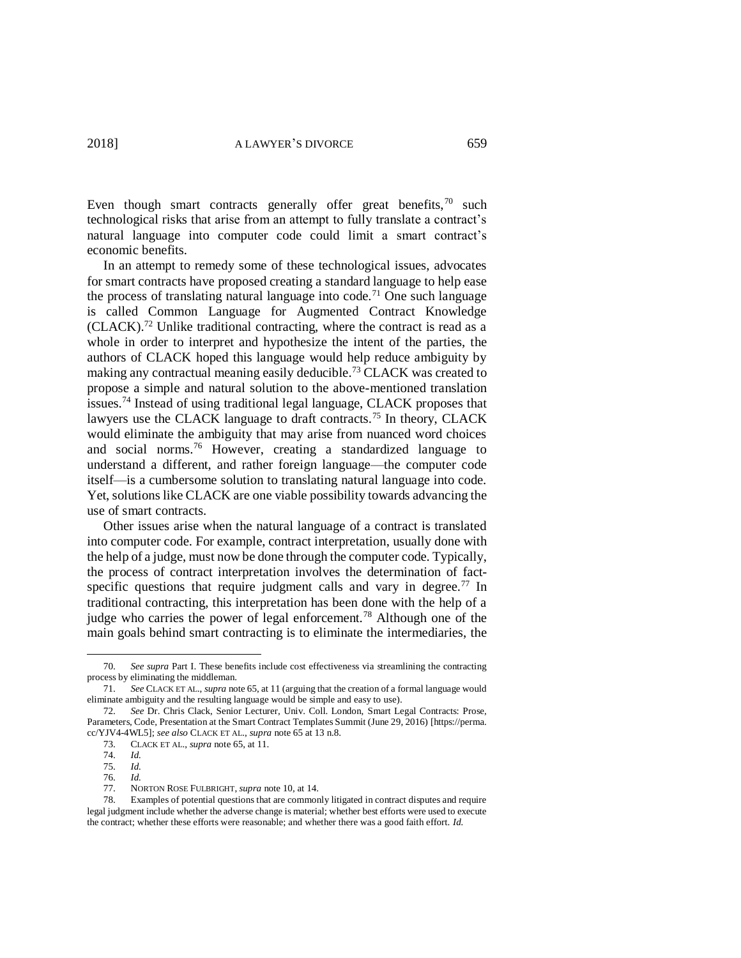Even though smart contracts generally offer great benefits, $70$  such technological risks that arise from an attempt to fully translate a contract's natural language into computer code could limit a smart contract's economic benefits.

In an attempt to remedy some of these technological issues, advocates for smart contracts have proposed creating a standard language to help ease the process of translating natural language into code.<sup>71</sup> One such language is called Common Language for Augmented Contract Knowledge  $(CLACK).$ <sup>72</sup> Unlike traditional contracting, where the contract is read as a whole in order to interpret and hypothesize the intent of the parties, the authors of CLACK hoped this language would help reduce ambiguity by making any contractual meaning easily deducible.<sup>73</sup> CLACK was created to propose a simple and natural solution to the above-mentioned translation issues.<sup>74</sup> Instead of using traditional legal language, CLACK proposes that lawyers use the CLACK language to draft contracts.<sup>75</sup> In theory, CLACK would eliminate the ambiguity that may arise from nuanced word choices and social norms.<sup>76</sup> However, creating a standardized language to understand a different, and rather foreign language—the computer code itself—is a cumbersome solution to translating natural language into code. Yet, solutions like CLACK are one viable possibility towards advancing the use of smart contracts.

Other issues arise when the natural language of a contract is translated into computer code. For example, contract interpretation, usually done with the help of a judge, must now be done through the computer code. Typically, the process of contract interpretation involves the determination of factspecific questions that require judgment calls and vary in degree.<sup>77</sup> In traditional contracting, this interpretation has been done with the help of a judge who carries the power of legal enforcement.<sup>78</sup> Although one of the main goals behind smart contracting is to eliminate the intermediaries, the

<sup>70.</sup> *See supra* Part I. These benefits include cost effectiveness via streamlining the contracting process by eliminating the middleman.

<sup>71.</sup> *See* CLACK ET AL., *supra* not[e 65,](#page-9-0) at 11 (arguing that the creation of a formal language would eliminate ambiguity and the resulting language would be simple and easy to use).

<sup>72.</sup> *See* Dr. Chris Clack, Senior Lecturer, Univ. Coll. London, Smart Legal Contracts: Prose, Parameters, Code, Presentation at the Smart Contract Templates Summit (June 29, 2016) [https://perma. cc/YJV4-4WL5]; *see also* CLACK ET AL., *supra* not[e 65](#page-9-0) at 13 n.8.

<sup>73.</sup> CLACK ET AL., *supra* note [65,](#page-9-0) at 11.

<sup>74.</sup> *Id.* 

<sup>75.</sup> *Id.*

<sup>76.</sup> *Id.*

<sup>77.</sup> NORTON ROSE FULBRIGHT, *supra* note [10,](#page-2-2) at 14.

<sup>78.</sup> Examples of potential questions that are commonly litigated in contract disputes and require legal judgment include whether the adverse change is material; whether best efforts were used to execute the contract; whether these efforts were reasonable; and whether there was a good faith effort. *Id.*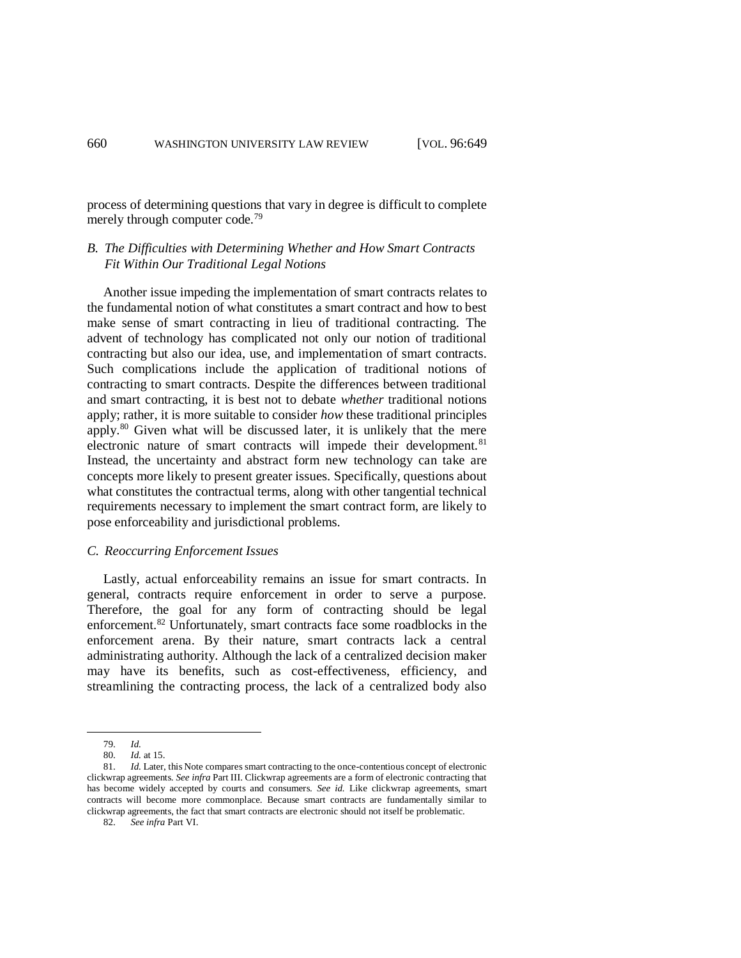process of determining questions that vary in degree is difficult to complete merely through computer code.<sup>79</sup>

### *B. The Difficulties with Determining Whether and How Smart Contracts Fit Within Our Traditional Legal Notions*

Another issue impeding the implementation of smart contracts relates to the fundamental notion of what constitutes a smart contract and how to best make sense of smart contracting in lieu of traditional contracting. The advent of technology has complicated not only our notion of traditional contracting but also our idea, use, and implementation of smart contracts. Such complications include the application of traditional notions of contracting to smart contracts. Despite the differences between traditional and smart contracting, it is best not to debate *whether* traditional notions apply; rather, it is more suitable to consider *how* these traditional principles apply.<sup>80</sup> Given what will be discussed later, it is unlikely that the mere electronic nature of smart contracts will impede their development.<sup>81</sup> Instead, the uncertainty and abstract form new technology can take are concepts more likely to present greater issues. Specifically, questions about what constitutes the contractual terms, along with other tangential technical requirements necessary to implement the smart contract form, are likely to pose enforceability and jurisdictional problems.

### *C. Reoccurring Enforcement Issues*

Lastly, actual enforceability remains an issue for smart contracts. In general, contracts require enforcement in order to serve a purpose. Therefore, the goal for any form of contracting should be legal enforcement.<sup>82</sup> Unfortunately, smart contracts face some roadblocks in the enforcement arena. By their nature, smart contracts lack a central administrating authority. Although the lack of a centralized decision maker may have its benefits, such as cost-effectiveness, efficiency, and streamlining the contracting process, the lack of a centralized body also

<sup>79.</sup> *Id.*

<sup>80.</sup> *Id.* at 15.

<sup>81.</sup> *Id.* Later, this Note compares smart contracting to the once-contentious concept of electronic clickwrap agreements. *See infra* Part III. Clickwrap agreements are a form of electronic contracting that has become widely accepted by courts and consumers. *See id.* Like clickwrap agreements, smart contracts will become more commonplace. Because smart contracts are fundamentally similar to clickwrap agreements, the fact that smart contracts are electronic should not itself be problematic.

<sup>82.</sup> *See infra* Part VI.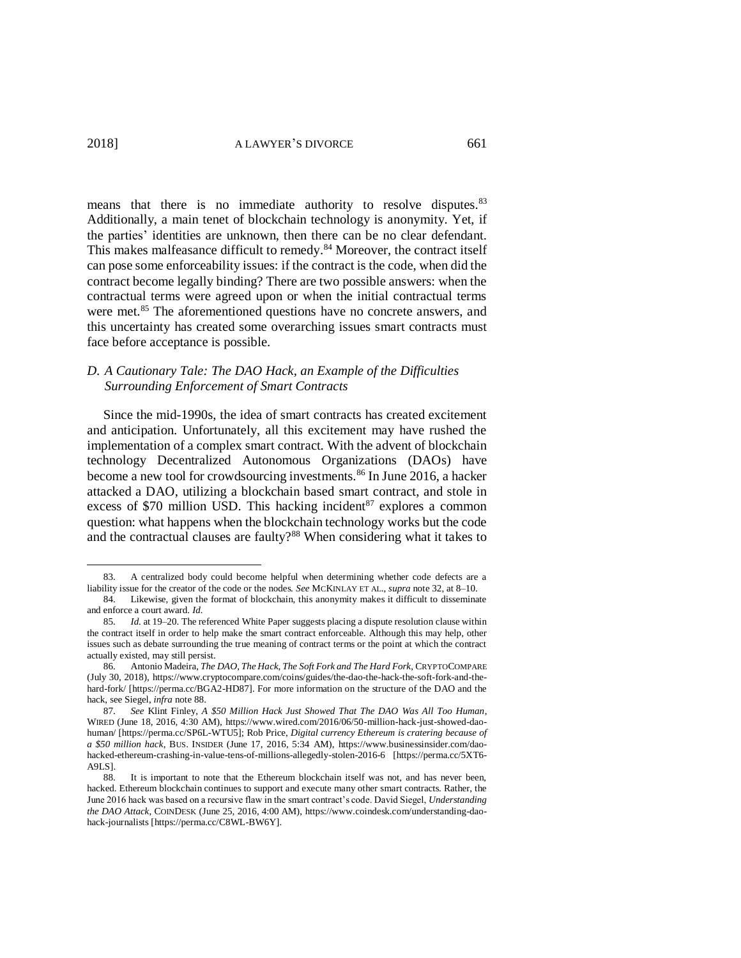means that there is no immediate authority to resolve disputes.<sup>83</sup> Additionally, a main tenet of blockchain technology is anonymity. Yet, if the parties' identities are unknown, then there can be no clear defendant. This makes malfeasance difficult to remedy.<sup>84</sup> Moreover, the contract itself can pose some enforceability issues: if the contract is the code, when did the contract become legally binding? There are two possible answers: when the contractual terms were agreed upon or when the initial contractual terms were met.<sup>85</sup> The aforementioned questions have no concrete answers, and this uncertainty has created some overarching issues smart contracts must face before acceptance is possible.

# *D. A Cautionary Tale: The DAO Hack, an Example of the Difficulties Surrounding Enforcement of Smart Contracts*

<span id="page-12-1"></span>Since the mid-1990s, the idea of smart contracts has created excitement and anticipation. Unfortunately, all this excitement may have rushed the implementation of a complex smart contract. With the advent of blockchain technology Decentralized Autonomous Organizations (DAOs) have become a new tool for crowdsourcing investments.<sup>86</sup> In June 2016, a hacker attacked a DAO, utilizing a blockchain based smart contract, and stole in excess of \$70 million USD. This hacking incident<sup>87</sup> explores a common question: what happens when the blockchain technology works but the code and the contractual clauses are faulty?<sup>88</sup> When considering what it takes to

<span id="page-12-2"></span><span id="page-12-0"></span><sup>83.</sup> A centralized body could become helpful when determining whether code defects are a liability issue for the creator of the code or the nodes. *See* MCKINLAY ET AL., *supra* not[e 32,](#page-5-1) at 8–10.

<sup>84.</sup> Likewise, given the format of blockchain, this anonymity makes it difficult to disseminate and enforce a court award. *Id.*

<sup>85.</sup> *Id.* at 19–20. The referenced White Paper suggests placing a dispute resolution clause within the contract itself in order to help make the smart contract enforceable. Although this may help, other issues such as debate surrounding the true meaning of contract terms or the point at which the contract actually existed, may still persist.

<sup>86.</sup> Antonio Madeira, *The DAO, The Hack, The Soft Fork and The Hard Fork*, CRYPTOCOMPARE (July 30, 2018), https://www.cryptocompare.com/coins/guides/the-dao-the-hack-the-soft-fork-and-thehard-fork/ [https://perma.cc/BGA2-HD87]. For more information on the structure of the DAO and the hack, see Siegel, *infra* not[e 88.](#page-12-0)

<sup>87.</sup> *See* Klint Finley, *A \$50 Million Hack Just Showed That The DAO Was All Too Human*, WIRED (June 18, 2016, 4:30 AM), https://www.wired.com/2016/06/50-million-hack-just-showed-daohuman/ [https://perma.cc/SP6L-WTU5]; Rob Price, *Digital currency Ethereum is cratering because of a \$50 million hack*, BUS. INSIDER (June 17, 2016, 5:34 AM), https://www.businessinsider.com/daohacked-ethereum-crashing-in-value-tens-of-millions-allegedly-stolen-2016-6 [https://perma.cc/5XT6- A9LS].

<sup>88.</sup> It is important to note that the Ethereum blockchain itself was not, and has never been, hacked. Ethereum blockchain continues to support and execute many other smart contracts. Rather, the June 2016 hack was based on a recursive flaw in the smart contract's code. David Siegel, *Understanding the DAO Attack*, COINDESK (June 25, 2016, 4:00 AM), https://www.coindesk.com/understanding-daohack-journalists [https://perma.cc/C8WL-BW6Y].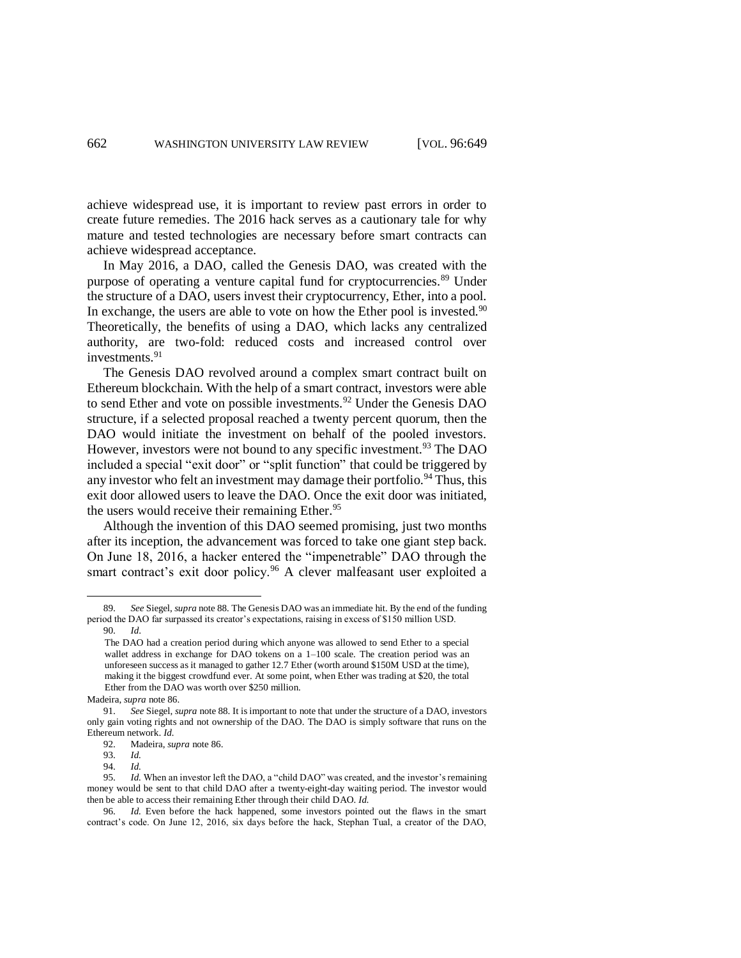achieve widespread use, it is important to review past errors in order to create future remedies. The 2016 hack serves as a cautionary tale for why mature and tested technologies are necessary before smart contracts can achieve widespread acceptance.

In May 2016, a DAO, called the Genesis DAO, was created with the purpose of operating a venture capital fund for cryptocurrencies.<sup>89</sup> Under the structure of a DAO, users invest their cryptocurrency, Ether, into a pool. In exchange, the users are able to vote on how the Ether pool is invested.<sup>90</sup> Theoretically, the benefits of using a DAO, which lacks any centralized authority, are two-fold: reduced costs and increased control over investments.<sup>91</sup>

The Genesis DAO revolved around a complex smart contract built on Ethereum blockchain. With the help of a smart contract, investors were able to send Ether and vote on possible investments.<sup>92</sup> Under the Genesis DAO structure, if a selected proposal reached a twenty percent quorum, then the DAO would initiate the investment on behalf of the pooled investors. However, investors were not bound to any specific investment.<sup>93</sup> The DAO included a special "exit door" or "split function" that could be triggered by any investor who felt an investment may damage their portfolio.<sup>94</sup> Thus, this exit door allowed users to leave the DAO. Once the exit door was initiated, the users would receive their remaining Ether.<sup>95</sup>

Although the invention of this DAO seemed promising, just two months after its inception, the advancement was forced to take one giant step back. On June 18, 2016, a hacker entered the "impenetrable" DAO through the smart contract's exit door policy.<sup>96</sup> A clever malfeasant user exploited a

<sup>89.</sup> *See* Siegel, *supra* not[e 88](#page-12-0)*.* The Genesis DAO was an immediate hit. By the end of the funding period the DAO far surpassed its creator's expectations, raising in excess of \$150 million USD.

<sup>90.</sup> *Id*.

The DAO had a creation period during which anyone was allowed to send Ether to a special wallet address in exchange for DAO tokens on a  $1-100$  scale. The creation period was an unforeseen success as it managed to gather 12.7 Ether (worth around \$150M USD at the time), making it the biggest crowdfund ever. At some point, when Ether was trading at \$20, the total Ether from the DAO was worth over \$250 million.

Madeira, *supra* note [86.](#page-12-1)

<sup>91.</sup> *See* Siegel, *supra* not[e 88.](#page-12-0) It is important to note that under the structure of a DAO, investors only gain voting rights and not ownership of the DAO. The DAO is simply software that runs on the Ethereum network. *Id.*

<sup>92.</sup> Madeira, *supra* note [86.](#page-12-1)

<sup>93.</sup> *Id.*

<sup>94.</sup> *Id.*

<sup>95.</sup> *Id.* When an investor left the DAO, a "child DAO" was created, and the investor's remaining money would be sent to that child DAO after a twenty-eight-day waiting period. The investor would then be able to access their remaining Ether through their child DAO. *Id.* 

<sup>96.</sup> *Id.* Even before the hack happened, some investors pointed out the flaws in the smart contract's code. On June 12, 2016, six days before the hack, Stephan Tual, a creator of the DAO,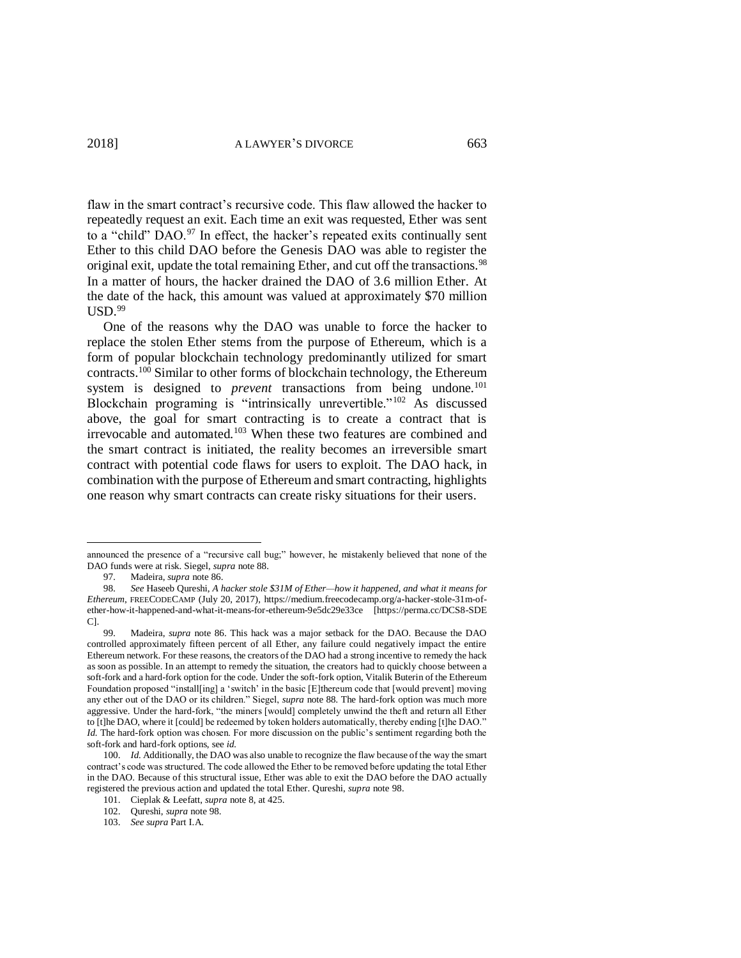<span id="page-14-0"></span>flaw in the smart contract's recursive code. This flaw allowed the hacker to repeatedly request an exit. Each time an exit was requested, Ether was sent to a "child" DAO.<sup>97</sup> In effect, the hacker's repeated exits continually sent Ether to this child DAO before the Genesis DAO was able to register the original exit, update the total remaining Ether, and cut off the transactions.<sup>98</sup> In a matter of hours, the hacker drained the DAO of 3.6 million Ether. At the date of the hack, this amount was valued at approximately \$70 million  $\mathrm{USD.}^{99}$ 

One of the reasons why the DAO was unable to force the hacker to replace the stolen Ether stems from the purpose of Ethereum, which is a form of popular blockchain technology predominantly utilized for smart contracts. <sup>100</sup> Similar to other forms of blockchain technology, the Ethereum system is designed to *prevent* transactions from being undone.<sup>101</sup> Blockchain programing is "intrinsically unrevertible."<sup>102</sup> As discussed above, the goal for smart contracting is to create a contract that is irrevocable and automated.<sup>103</sup> When these two features are combined and the smart contract is initiated, the reality becomes an irreversible smart contract with potential code flaws for users to exploit. The DAO hack, in combination with the purpose of Ethereum and smart contracting, highlights one reason why smart contracts can create risky situations for their users.

97. Madeira, *supra* note [86.](#page-12-1)

announced the presence of a "recursive call bug;" however, he mistakenly believed that none of the DAO funds were at risk. Siegel, *supra* not[e 88.](#page-12-0)

<sup>98.</sup> *See* Haseeb Qureshi, *A hacker stole \$31M of Ether—how it happened, and what it means for Ethereum*, FREECODECAMP (July 20, 2017), https://medium.freecodecamp.org/a-hacker-stole-31m-ofether-how-it-happened-and-what-it-means-for-ethereum-9e5dc29e33ce [https://perma.cc/DCS8-SDE C].

<sup>99.</sup> Madeira, *supra* note [86.](#page-12-1) This hack was a major setback for the DAO. Because the DAO controlled approximately fifteen percent of all Ether, any failure could negatively impact the entire Ethereum network. For these reasons, the creators of the DAO had a strong incentive to remedy the hack as soon as possible. In an attempt to remedy the situation, the creators had to quickly choose between a soft-fork and a hard-fork option for the code. Under the soft-fork option, Vitalik Buterin of the Ethereum Foundation proposed "install[ing] a 'switch' in the basic [E]thereum code that [would prevent] moving any ether out of the DAO or its children." Siegel, *supra* not[e 88](#page-12-0)*.* The hard-fork option was much more aggressive. Under the hard-fork, "the miners [would] completely unwind the theft and return all Ether to [t]he DAO, where it [could] be redeemed by token holders automatically, thereby ending [t]he DAO." *Id.* The hard-fork option was chosen. For more discussion on the public's sentiment regarding both the soft-fork and hard-fork options, see *id.*

<sup>100.</sup> *Id.* Additionally, the DAO was also unable to recognize the flaw because of the way the smart contract's code was structured. The code allowed the Ether to be removed before updating the total Ether in the DAO. Because of this structural issue, Ether was able to exit the DAO before the DAO actually registered the previous action and updated the total Ether. Qureshi, *supra* note [98.](#page-14-0)

<sup>101.</sup> Cieplak & Leefatt, *supra* note [8,](#page-2-1) at 425.

<sup>102.</sup> Qureshi, *supra* note [98.](#page-14-0)

<sup>103.</sup> *See supra* Part I.A.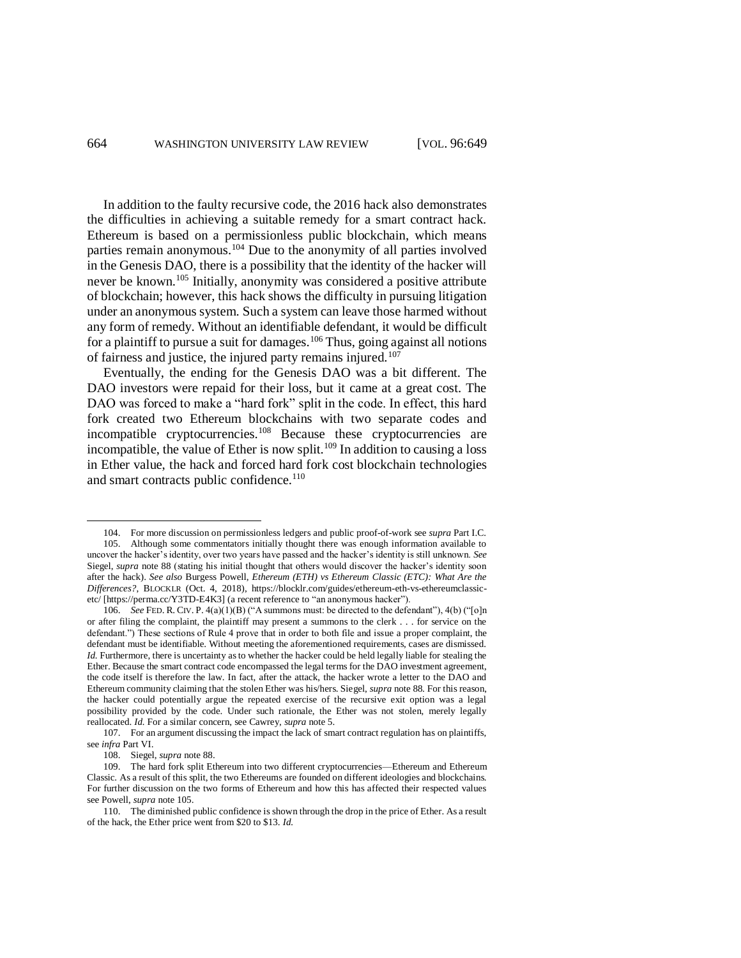<span id="page-15-0"></span>In addition to the faulty recursive code, the 2016 hack also demonstrates the difficulties in achieving a suitable remedy for a smart contract hack. Ethereum is based on a permissionless public blockchain, which means parties remain anonymous.<sup>104</sup> Due to the anonymity of all parties involved in the Genesis DAO, there is a possibility that the identity of the hacker will never be known.<sup>105</sup> Initially, anonymity was considered a positive attribute of blockchain; however, this hack shows the difficulty in pursuing litigation under an anonymous system. Such a system can leave those harmed without any form of remedy. Without an identifiable defendant, it would be difficult for a plaintiff to pursue a suit for damages.<sup>106</sup> Thus, going against all notions of fairness and justice, the injured party remains injured.<sup>107</sup>

<span id="page-15-1"></span>Eventually, the ending for the Genesis DAO was a bit different. The DAO investors were repaid for their loss, but it came at a great cost. The DAO was forced to make a "hard fork" split in the code. In effect, this hard fork created two Ethereum blockchains with two separate codes and incompatible cryptocurrencies.<sup>108</sup> Because these cryptocurrencies are incompatible, the value of Ether is now split.<sup>109</sup> In addition to causing a loss in Ether value, the hack and forced hard fork cost blockchain technologies and smart contracts public confidence.<sup>110</sup>

<sup>104.</sup> For more discussion on permissionless ledgers and public proof-of-work see *supra* Part I.C. 105. Although some commentators initially thought there was enough information available to uncover the hacker's identity, over two years have passed and the hacker's identity is still unknown. *See*  Siegel, *supra* note [88](#page-12-0) (stating his initial thought that others would discover the hacker's identity soon after the hack). *See also* Burgess Powell, *Ethereum (ETH) vs Ethereum Classic (ETC): What Are the Differences?*, BLOCKLR (Oct. 4, 2018), https://blocklr.com/guides/ethereum-eth-vs-ethereumclassicetc/ [https://perma.cc/Y3TD-E4K3] (a recent reference to "an anonymous hacker").

<sup>106.</sup> *See* FED. R. CIV. P. 4(a)(1)(B) ("A summons must: be directed to the defendant"), 4(b) ("[o]n or after filing the complaint, the plaintiff may present a summons to the clerk . . . for service on the defendant.") These sections of Rule 4 prove that in order to both file and issue a proper complaint, the defendant must be identifiable. Without meeting the aforementioned requirements, cases are dismissed. *Id.* Furthermore, there is uncertainty as to whether the hacker could be held legally liable for stealing the Ether. Because the smart contract code encompassed the legal terms for the DAO investment agreement, the code itself is therefore the law. In fact, after the attack, the hacker wrote a letter to the DAO and Ethereum community claiming that the stolen Ether was his/hers. Siegel, *supra* not[e 88](#page-12-0)*.* For this reason, the hacker could potentially argue the repeated exercise of the recursive exit option was a legal possibility provided by the code. Under such rationale, the Ether was not stolen, merely legally reallocated. *Id.* For a similar concern, see Cawrey, *supra* note [5.](#page-1-0) 

<sup>107.</sup> For an argument discussing the impact the lack of smart contract regulation has on plaintiffs, see *infra* Part VI.

<sup>108.</sup> Siegel, *supra* note [88.](#page-12-0) 

<sup>109.</sup> The hard fork split Ethereum into two different cryptocurrencies—Ethereum and Ethereum Classic. As a result of this split, the two Ethereums are founded on different ideologies and blockchains. For further discussion on the two forms of Ethereum and how this has affected their respected values see Powell, *supra* not[e 105.](#page-15-0)

<sup>110.</sup> The diminished public confidence is shown through the drop in the price of Ether. As a result of the hack, the Ether price went from \$20 to \$13. *Id.*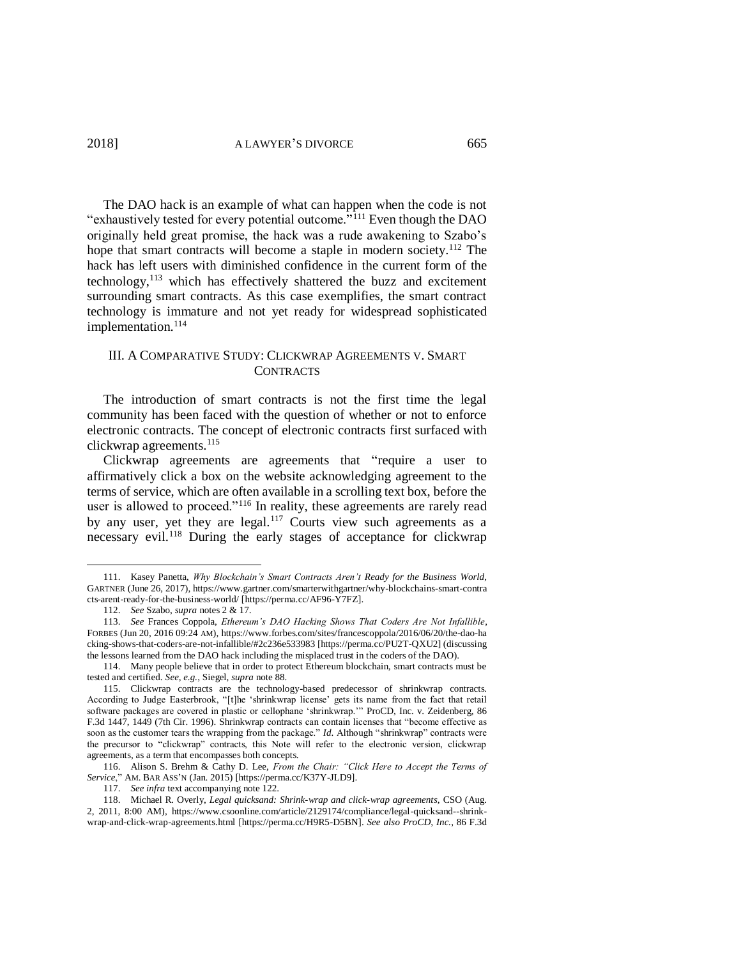<span id="page-16-2"></span>The DAO hack is an example of what can happen when the code is not "exhaustively tested for every potential outcome.<sup>"111</sup> Even though the DAO originally held great promise, the hack was a rude awakening to Szabo's hope that smart contracts will become a staple in modern society. <sup>112</sup> The hack has left users with diminished confidence in the current form of the technology, <sup>113</sup> which has effectively shattered the buzz and excitement surrounding smart contracts. As this case exemplifies, the smart contract technology is immature and not yet ready for widespread sophisticated implementation.<sup>114</sup>

## III. A COMPARATIVE STUDY: CLICKWRAP AGREEMENTS V. SMART CONTRACTS

The introduction of smart contracts is not the first time the legal community has been faced with the question of whether or not to enforce electronic contracts. The concept of electronic contracts first surfaced with clickwrap agreements. 115

<span id="page-16-0"></span>Clickwrap agreements are agreements that "require a user to affirmatively click a box on the website acknowledging agreement to the terms of service, which are often available in a scrolling text box, before the user is allowed to proceed."<sup>116</sup> In reality, these agreements are rarely read by any user, yet they are legal.<sup>117</sup> Courts view such agreements as a necessary evil.<sup>118</sup> During the early stages of acceptance for clickwrap

<span id="page-16-1"></span><sup>111.</sup> Kasey Panetta, *Why Blockchain's Smart Contracts Aren't Ready for the Business World*, GARTNER (June 26, 2017), https://www.gartner.com/smarterwithgartner/why-blockchains-smart-contra cts-arent-ready-for-the-business-world/ [https://perma.cc/AF96-Y7FZ].

<sup>112.</sup> *See* Szabo, *supra* notes [2](#page-0-1) & [17.](#page-3-0) 

<sup>113.</sup> *See* Frances Coppola, *Ethereum's DAO Hacking Shows That Coders Are Not Infallible*, FORBES (Jun 20, 2016 09:24 AM), https://www.forbes.com/sites/francescoppola/2016/06/20/the-dao-ha cking-shows-that-coders-are-not-infallible/#2c236e533983 [https://perma.cc/PU2T-QXU2] (discussing the lessons learned from the DAO hack including the misplaced trust in the coders of the DAO).

<sup>114.</sup> Many people believe that in order to protect Ethereum blockchain, smart contracts must be tested and certified. *See, e.g.*, Siegel, *supra* not[e 88.](#page-12-0) 

<sup>115.</sup> Clickwrap contracts are the technology-based predecessor of shrinkwrap contracts. According to Judge Easterbrook, "[t]he 'shrinkwrap license' gets its name from the fact that retail software packages are covered in plastic or cellophane 'shrinkwrap.'" ProCD, Inc. v. Zeidenberg, 86 F.3d 1447, 1449 (7th Cir. 1996). Shrinkwrap contracts can contain licenses that "become effective as soon as the customer tears the wrapping from the package." *Id*. Although "shrinkwrap" contracts were the precursor to "clickwrap" contracts, this Note will refer to the electronic version, clickwrap agreements, as a term that encompasses both concepts.

<sup>116.</sup> Alison S. Brehm & Cathy D. Lee, *From the Chair: "Click Here to Accept the Terms of Service*," AM. BAR ASS'N (Jan. 2015) [https://perma.cc/K37Y-JLD9].

<sup>117.</sup> *See infra* text accompanying note [122.](#page-17-0) 

<sup>118.</sup> Michael R. Overly, *Legal quicksand: Shrink-wrap and click-wrap agreements*, CSO (Aug. 2, 2011, 8:00 AM), https://www.csoonline.com/article/2129174/compliance/legal-quicksand--shrinkwrap-and-click-wrap-agreements.html [https://perma.cc/H9R5-D5BN]. *See also ProCD, Inc.*, 86 F.3d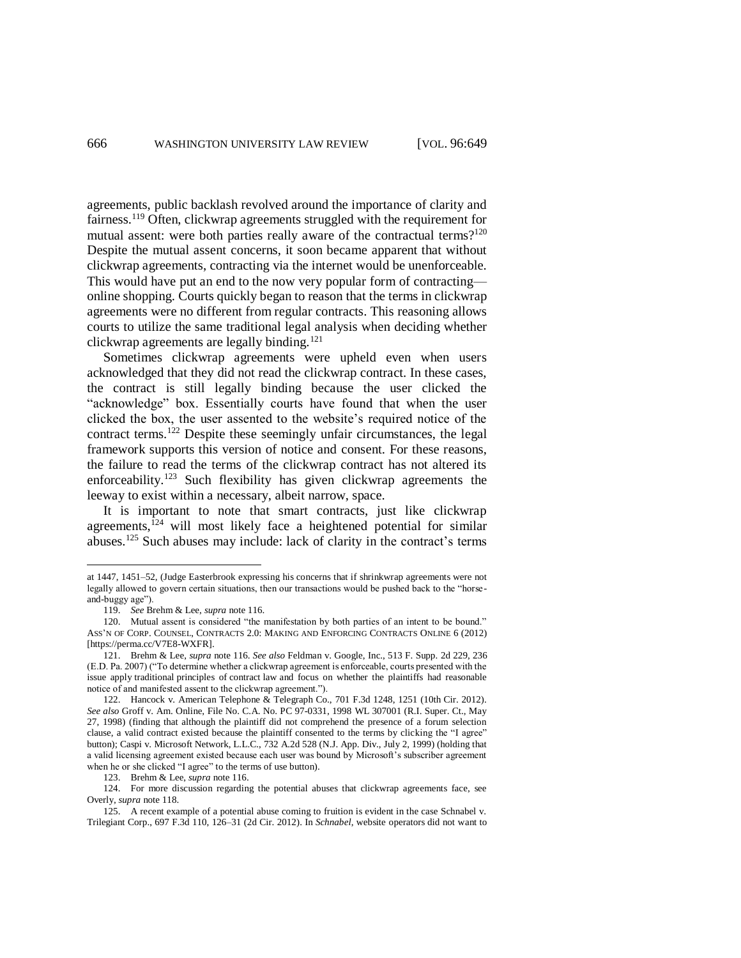agreements, public backlash revolved around the importance of clarity and fairness.<sup>119</sup> Often, clickwrap agreements struggled with the requirement for mutual assent: were both parties really aware of the contractual terms?<sup>120</sup> Despite the mutual assent concerns, it soon became apparent that without clickwrap agreements, contracting via the internet would be unenforceable. This would have put an end to the now very popular form of contracting online shopping. Courts quickly began to reason that the terms in clickwrap agreements were no different from regular contracts. This reasoning allows courts to utilize the same traditional legal analysis when deciding whether clickwrap agreements are legally binding.<sup>121</sup>

<span id="page-17-0"></span>Sometimes clickwrap agreements were upheld even when users acknowledged that they did not read the clickwrap contract. In these cases, the contract is still legally binding because the user clicked the "acknowledge" box. Essentially courts have found that when the user clicked the box, the user assented to the website's required notice of the contract terms.<sup>122</sup> Despite these seemingly unfair circumstances, the legal framework supports this version of notice and consent. For these reasons, the failure to read the terms of the clickwrap contract has not altered its enforceability.<sup>123</sup> Such flexibility has given clickwrap agreements the leeway to exist within a necessary, albeit narrow, space.

It is important to note that smart contracts, just like clickwrap agreements, $124$  will most likely face a heightened potential for similar abuses.<sup>125</sup> Such abuses may include: lack of clarity in the contract's terms

at 1447, 1451–52, (Judge Easterbrook expressing his concerns that if shrinkwrap agreements were not legally allowed to govern certain situations, then our transactions would be pushed back to the "horseand-buggy age").

<sup>119.</sup> *See* Brehm & Lee, *supra* note [116.](#page-16-0) 

<sup>120.</sup> Mutual assent is considered "the manifestation by both parties of an intent to be bound." ASS'N OF CORP. COUNSEL, CONTRACTS 2.0: MAKING AND ENFORCING CONTRACTS ONLINE 6 (2012) [https://perma.cc/V7E8-WXFR].

<sup>121.</sup> Brehm & Lee, *supra* note [116.](#page-16-0) *See also* Feldman v. Google, Inc., 513 F. Supp. 2d 229, 236 (E.D. Pa. 2007) ("To determine whether a clickwrap agreement is enforceable, courts presented with the issue apply traditional principles of contract law and focus on whether the plaintiffs had reasonable notice of and manifested assent to the clickwrap agreement.").

<sup>122.</sup> Hancock v. American Telephone & Telegraph Co., 701 F.3d 1248, 1251 (10th Cir. 2012). *See also* Groff v. Am. Online, File No. C.A. No. PC 97-0331, 1998 WL 307001 (R.I. Super. Ct., May 27, 1998) (finding that although the plaintiff did not comprehend the presence of a forum selection clause, a valid contract existed because the plaintiff consented to the terms by clicking the "I agree" button); Caspi v. Microsoft Network, L.L.C., 732 A.2d 528 (N.J. App. Div., July 2, 1999) (holding that a valid licensing agreement existed because each user was bound by Microsoft's subscriber agreement when he or she clicked "I agree" to the terms of use button).

<sup>123.</sup> Brehm & Lee, *supra* note [116.](#page-16-0) 

<sup>124.</sup> For more discussion regarding the potential abuses that clickwrap agreements face, see Overly, *supra* note [118.](#page-16-1)

<sup>125.</sup> A recent example of a potential abuse coming to fruition is evident in the case Schnabel v. Trilegiant Corp., 697 F.3d 110, 126–31 (2d Cir. 2012). In *Schnabel*, website operators did not want to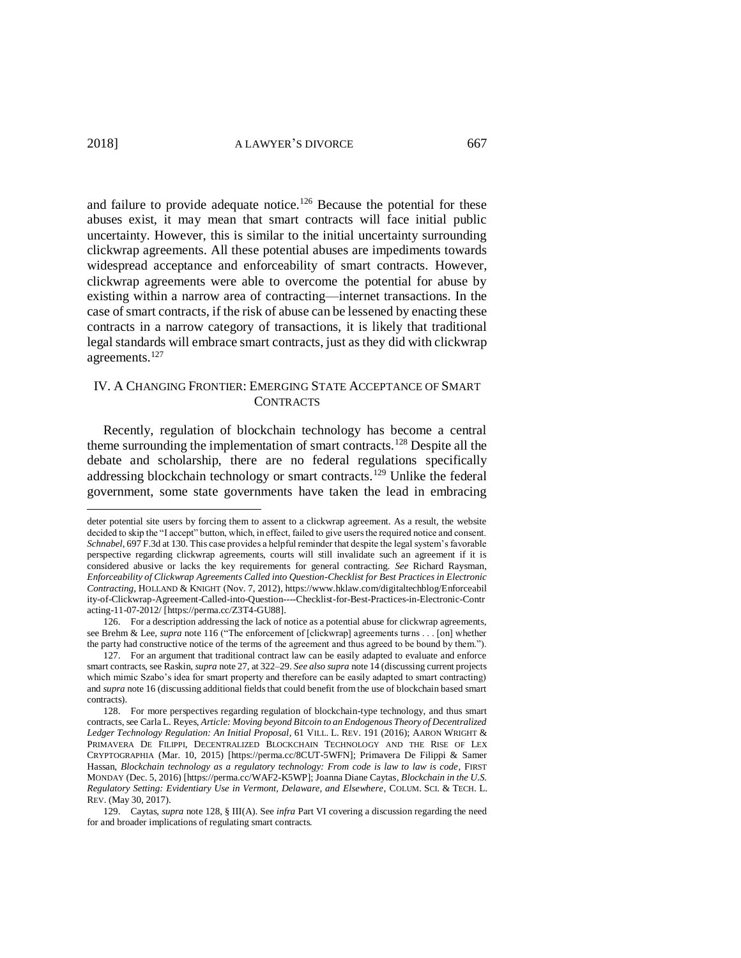$\overline{a}$ 

and failure to provide adequate notice.<sup>126</sup> Because the potential for these abuses exist, it may mean that smart contracts will face initial public uncertainty. However, this is similar to the initial uncertainty surrounding clickwrap agreements. All these potential abuses are impediments towards widespread acceptance and enforceability of smart contracts. However, clickwrap agreements were able to overcome the potential for abuse by existing within a narrow area of contracting—internet transactions. In the case of smart contracts, if the risk of abuse can be lessened by enacting these contracts in a narrow category of transactions, it is likely that traditional legal standards will embrace smart contracts, just as they did with clickwrap agreements.<sup>127</sup>

### <span id="page-18-0"></span>IV. A CHANGING FRONTIER: EMERGING STATE ACCEPTANCE OF SMART **CONTRACTS**

Recently, regulation of blockchain technology has become a central theme surrounding the implementation of smart contracts.<sup>128</sup> Despite all the debate and scholarship, there are no federal regulations specifically addressing blockchain technology or smart contracts.<sup>129</sup> Unlike the federal government, some state governments have taken the lead in embracing

deter potential site users by forcing them to assent to a clickwrap agreement. As a result, the website decided to skip the "I accept" button, which, in effect, failed to give users the required notice and consent. *Schnabel*, 697 F.3d at 130. This case provides a helpful reminder that despite the legal system's favorable perspective regarding clickwrap agreements, courts will still invalidate such an agreement if it is considered abusive or lacks the key requirements for general contracting. *See* Richard Raysman, *Enforceability of Clickwrap Agreements Called into Question-Checklist for Best Practices in Electronic Contracting*, HOLLAND & KNIGHT (Nov. 7, 2012), https://www.hklaw.com/digitaltechblog/Enforceabil ity-of-Clickwrap-Agreement-Called-into-Question----Checklist-for-Best-Practices-in-Electronic-Contr acting-11-07-2012/ [https://perma.cc/Z3T4-GU88].

<sup>126.</sup> For a description addressing the lack of notice as a potential abuse for clickwrap agreements, see Brehm & Lee, *supra* not[e 116](#page-16-0) ("The enforcement of [clickwrap] agreements turns . . . [on] whether the party had constructive notice of the terms of the agreement and thus agreed to be bound by them.").

<sup>127.</sup> For an argument that traditional contract law can be easily adapted to evaluate and enforce smart contracts, see Raskin, *supra* not[e 27,](#page-5-0) at 322–29. *See also supra* not[e 14](#page-2-0) (discussing current projects which mimic Szabo's idea for smart property and therefore can be easily adapted to smart contracting) and *supra* not[e 16](#page-3-1) (discussing additional fields that could benefit from the use of blockchain based smart contracts).

<sup>128.</sup> For more perspectives regarding regulation of blockchain-type technology, and thus smart contracts, see Carla L. Reyes, *Article: Moving beyond Bitcoin to an Endogenous Theory of Decentralized Ledger Technology Regulation: An Initial Proposal*, 61 VILL. L. REV. 191 (2016); AARON WRIGHT & PRIMAVERA DE FILIPPI, DECENTRALIZED BLOCKCHAIN TECHNOLOGY AND THE RISE OF LEX CRYPTOGRAPHIA (Mar. 10, 2015) [https://perma.cc/8CUT-5WFN]; Primavera De Filippi & Samer Hassan, *Blockchain technology as a regulatory technology: From code is law to law is code*, FIRST MONDAY (Dec. 5, 2016) [https://perma.cc/WAF2-K5WP]; Joanna Diane Caytas, *Blockchain in the U.S. Regulatory Setting: Evidentiary Use in Vermont, Delaware, and Elsewhere*, COLUM. SCI. & TECH. L. REV. (May 30, 2017).

<sup>129.</sup> Caytas, *supra* note [128,](#page-18-0) § III(A). See *infra* Part VI covering a discussion regarding the need for and broader implications of regulating smart contracts.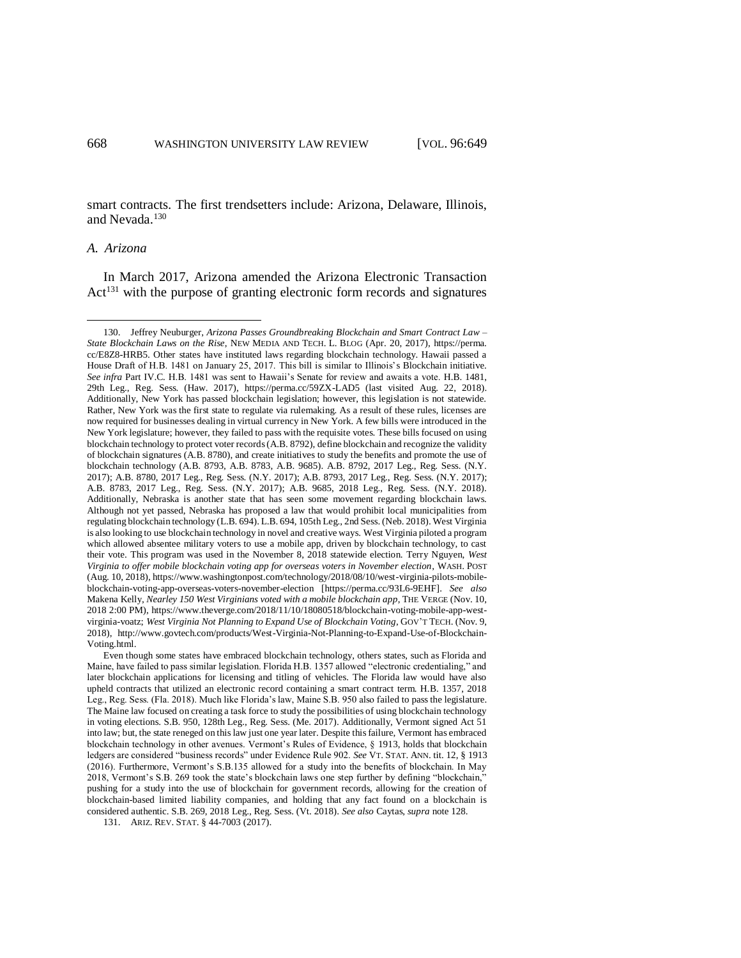<span id="page-19-0"></span>smart contracts. The first trendsetters include: Arizona, Delaware, Illinois, and Nevada.<sup>130</sup>

#### *A. Arizona*

 $\overline{a}$ 

In March 2017, Arizona amended the Arizona Electronic Transaction Act<sup>131</sup> with the purpose of granting electronic form records and signatures

<sup>130.</sup> Jeffrey Neuburger, *Arizona Passes Groundbreaking Blockchain and Smart Contract Law – State Blockchain Laws on the Rise*, NEW MEDIA AND TECH. L. BLOG (Apr. 20, 2017), https://perma. cc/E8Z8-HRB5. Other states have instituted laws regarding blockchain technology. Hawaii passed a House Draft of H.B. 1481 on January 25, 2017. This bill is similar to Illinois's Blockchain initiative. *See infra* Part IV.C*.* H.B. 1481 was sent to Hawaii's Senate for review and awaits a vote. H.B. 1481, 29th Leg., Reg. Sess. (Haw. 2017), https://perma.cc/59ZX-LAD5 (last visited Aug. 22, 2018). Additionally, New York has passed blockchain legislation; however, this legislation is not statewide. Rather, New York was the first state to regulate via rulemaking. As a result of these rules, licenses are now required for businesses dealing in virtual currency in New York. A few bills were introduced in the New York legislature; however, they failed to pass with the requisite votes. These bills focused on using blockchain technology to protect voter records (A.B. 8792), define blockchain and recognize the validity of blockchain signatures (A.B. 8780), and create initiatives to study the benefits and promote the use of blockchain technology (A.B. 8793, A.B. 8783, A.B. 9685). A.B. 8792, 2017 Leg., Reg. Sess. (N.Y. 2017); A.B. 8780, 2017 Leg., Reg. Sess. (N.Y. 2017); A.B. 8793, 2017 Leg., Reg. Sess. (N.Y. 2017); A.B. 8783, 2017 Leg., Reg. Sess. (N.Y. 2017); A.B. 9685, 2018 Leg., Reg. Sess. (N.Y. 2018). Additionally, Nebraska is another state that has seen some movement regarding blockchain laws. Although not yet passed, Nebraska has proposed a law that would prohibit local municipalities from regulating blockchain technology (L.B. 694). L.B. 694, 105th Leg., 2nd Sess. (Neb. 2018). West Virginia is also looking to use blockchain technology in novel and creative ways. West Virginia piloted a program which allowed absentee military voters to use a mobile app, driven by blockchain technology, to cast their vote. This program was used in the November 8, 2018 statewide election. Terry Nguyen, *West Virginia to offer mobile blockchain voting app for overseas voters in November election*, WASH. POST (Aug. 10, 2018), https://www.washingtonpost.com/technology/2018/08/10/west-virginia-pilots-mobileblockchain-voting-app-overseas-voters-november-election [https://perma.cc/93L6-9EHF]. *See also*  Makena Kelly, *Nearley 150 West Virginians voted with a mobile blockchain app*, THE VERGE (Nov. 10, 2018 2:00 PM), https://www.theverge.com/2018/11/10/18080518/blockchain-voting-mobile-app-westvirginia-voatz; *West Virginia Not Planning to Expand Use of Blockchain Voting*, GOV'T TECH. (Nov. 9, 2018), http://www.govtech.com/products/West-Virginia-Not-Planning-to-Expand-Use-of-Blockchain-Voting.html.

Even though some states have embraced blockchain technology, others states, such as Florida and Maine, have failed to pass similar legislation. Florida H.B. 1357 allowed "electronic credentialing," and later blockchain applications for licensing and titling of vehicles. The Florida law would have also upheld contracts that utilized an electronic record containing a smart contract term. H.B. 1357, 2018 Leg., Reg. Sess. (Fla. 2018). Much like Florida's law, Maine S.B. 950 also failed to pass the legislature. The Maine law focused on creating a task force to study the possibilities of using blockchain technology in voting elections. S.B. 950, 128th Leg., Reg. Sess. (Me. 2017). Additionally, Vermont signed Act 51 into law; but, the state reneged on this law just one year later. Despite this failure, Vermont has embraced blockchain technology in other avenues. Vermont's Rules of Evidence, § 1913, holds that blockchain ledgers are considered "business records" under Evidence Rule 902. *See* VT. STAT. ANN. tit. 12, § 1913 (2016). Furthermore, Vermont's S.B.135 allowed for a study into the benefits of blockchain. In May 2018, Vermont's S.B. 269 took the state's blockchain laws one step further by defining "blockchain," pushing for a study into the use of blockchain for government records, allowing for the creation of blockchain-based limited liability companies, and holding that any fact found on a blockchain is considered authentic. S.B. 269, 2018 Leg., Reg. Sess. (Vt. 2018). *See also* Caytas, *supra* note [128.](#page-18-0) 

<sup>131.</sup> ARIZ. REV. STAT. § 44-7003 (2017).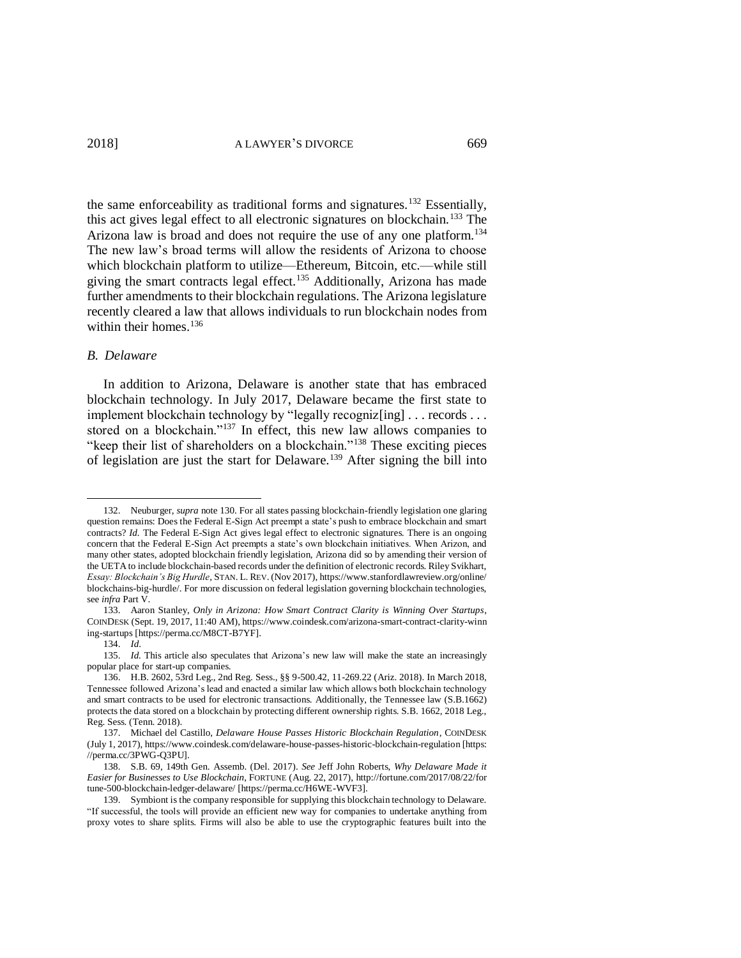the same enforceability as traditional forms and signatures.<sup>132</sup> Essentially, this act gives legal effect to all electronic signatures on blockchain.<sup>133</sup> The Arizona law is broad and does not require the use of any one platform.<sup>134</sup> The new law's broad terms will allow the residents of Arizona to choose which blockchain platform to utilize—Ethereum, Bitcoin, etc.—while still giving the smart contracts legal effect.<sup>135</sup> Additionally, Arizona has made further amendments to their blockchain regulations. The Arizona legislature recently cleared a law that allows individuals to run blockchain nodes from within their homes.<sup>136</sup>

#### *B. Delaware*

<span id="page-20-0"></span> $\overline{a}$ 

In addition to Arizona, Delaware is another state that has embraced blockchain technology. In July 2017, Delaware became the first state to implement blockchain technology by "legally recogniz[ing] . . . records . . . stored on a blockchain."<sup>137</sup> In effect, this new law allows companies to "keep their list of shareholders on a blockchain."<sup>138</sup> These exciting pieces of legislation are just the start for Delaware.<sup>139</sup> After signing the bill into

<sup>132.</sup> Neuburger, *supra* note [130.](#page-19-0) For all states passing blockchain-friendly legislation one glaring question remains: Does the Federal E-Sign Act preempt a state's push to embrace blockchain and smart contracts? *Id.* The Federal E-Sign Act gives legal effect to electronic signatures. There is an ongoing concern that the Federal E-Sign Act preempts a state's own blockchain initiatives. When Arizon, and many other states, adopted blockchain friendly legislation, Arizona did so by amending their version of the UETA to include blockchain-based records under the definition of electronic records. Riley Svikhart, *Essay: Blockchain's Big Hurdle*, STAN. L. REV. (Nov 2017), https://www.stanfordlawreview.org/online/ blockchains-big-hurdle/. For more discussion on federal legislation governing blockchain technologies, see *infra* Part V.

<sup>133.</sup> Aaron Stanley, *Only in Arizona: How Smart Contract Clarity is Winning Over Startups*, COINDESK (Sept. 19, 2017, 11:40 AM), https://www.coindesk.com/arizona-smart-contract-clarity-winn ing-startups [https://perma.cc/M8CT-B7YF].

<sup>134.</sup> *Id*.

<sup>135.</sup> *Id.* This article also speculates that Arizona's new law will make the state an increasingly popular place for start-up companies.

<sup>136.</sup> H.B. 2602, 53rd Leg., 2nd Reg. Sess., §§ 9-500.42, 11-269.22 (Ariz. 2018). In March 2018, Tennessee followed Arizona's lead and enacted a similar law which allows both blockchain technology and smart contracts to be used for electronic transactions. Additionally, the Tennessee law (S.B.1662) protects the data stored on a blockchain by protecting different ownership rights. S.B. 1662, 2018 Leg., Reg. Sess. (Tenn. 2018).

<sup>137.</sup> Michael del Castillo, *Delaware House Passes Historic Blockchain Regulation*, COINDESK (July 1, 2017), https://www.coindesk.com/delaware-house-passes-historic-blockchain-regulation [https: //perma.cc/3PWG-Q3PU].

<sup>138.</sup> S.B. 69, 149th Gen. Assemb. (Del. 2017). *See* Jeff John Roberts, *Why Delaware Made it Easier for Businesses to Use Blockchain*, FORTUNE (Aug. 22, 2017), http://fortune.com/2017/08/22/for tune-500-blockchain-ledger-delaware/ [https://perma.cc/H6WE-WVF3].

<sup>139.</sup> Symbiont is the company responsible for supplying this blockchain technology to Delaware. "If successful, the tools will provide an efficient new way for companies to undertake anything from proxy votes to share splits. Firms will also be able to use the cryptographic features built into the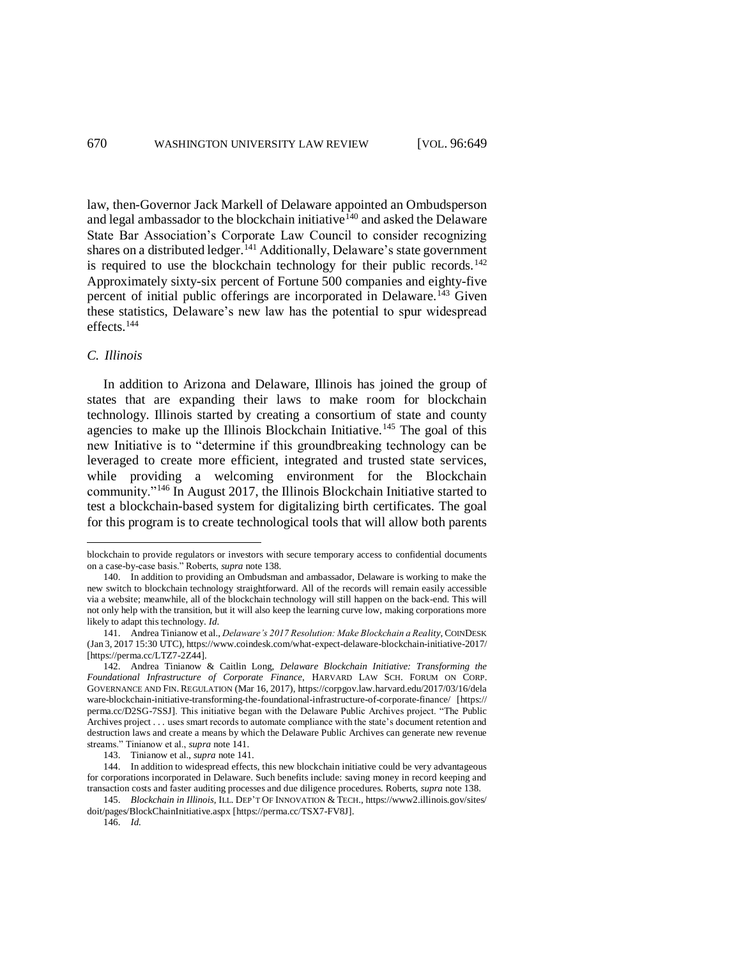<span id="page-21-0"></span>law, then-Governor Jack Markell of Delaware appointed an Ombudsperson and legal ambassador to the blockchain initiative<sup> $140$ </sup> and asked the Delaware State Bar Association's Corporate Law Council to consider recognizing shares on a distributed ledger.<sup>141</sup> Additionally, Delaware's state government is required to use the blockchain technology for their public records.<sup>142</sup> Approximately sixty-six percent of Fortune 500 companies and eighty-five percent of initial public offerings are incorporated in Delaware.<sup>143</sup> Given these statistics, Delaware's new law has the potential to spur widespread effects.<sup>144</sup>

### *C. Illinois*

 $\overline{a}$ 

In addition to Arizona and Delaware, Illinois has joined the group of states that are expanding their laws to make room for blockchain technology. Illinois started by creating a consortium of state and county agencies to make up the Illinois Blockchain Initiative.<sup>145</sup> The goal of this new Initiative is to "determine if this groundbreaking technology can be leveraged to create more efficient, integrated and trusted state services, while providing a welcoming environment for the Blockchain community."<sup>146</sup> In August 2017, the Illinois Blockchain Initiative started to test a blockchain-based system for digitalizing birth certificates. The goal for this program is to create technological tools that will allow both parents

blockchain to provide regulators or investors with secure temporary access to confidential documents on a case-by-case basis." Roberts, *supra* note [138.](#page-20-0) 

<sup>140.</sup> In addition to providing an Ombudsman and ambassador, Delaware is working to make the new switch to blockchain technology straightforward. All of the records will remain easily accessible via a website; meanwhile, all of the blockchain technology will still happen on the back-end. This will not only help with the transition, but it will also keep the learning curve low, making corporations more likely to adapt this technology. *Id*.

<sup>141.</sup> Andrea Tinianow et al., *Delaware's 2017 Resolution: Make Blockchain a Reality*, COINDESK (Jan 3, 2017 15:30 UTC), https://www.coindesk.com/what-expect-delaware-blockchain-initiative-2017/ [https://perma.cc/LTZ7-2Z44].

<sup>142.</sup> Andrea Tinianow & Caitlin Long, *Delaware Blockchain Initiative: Transforming the Foundational Infrastructure of Corporate Finance*, HARVARD LAW SCH. FORUM ON CORP. GOVERNANCE AND FIN. REGULATION (Mar 16, 2017), https://corpgov.law.harvard.edu/2017/03/16/dela ware-blockchain-initiative-transforming-the-foundational-infrastructure-of-corporate-finance/ [https:// perma.cc/D2SG-7SSJ]. This initiative began with the Delaware Public Archives project. "The Public Archives project . . . uses smart records to automate compliance with the state's document retention and destruction laws and create a means by which the Delaware Public Archives can generate new revenue streams." Tinianow et al., *supra* note [141.](#page-21-0)

<sup>143.</sup> Tinianow et al., *supra* note [141.](#page-21-0)

<sup>144.</sup> In addition to widespread effects, this new blockchain initiative could be very advantageous for corporations incorporated in Delaware. Such benefits include: saving money in record keeping and transaction costs and faster auditing processes and due diligence procedures. Roberts, *supra* not[e 138.](#page-20-0) 

<sup>145.</sup> *Blockchain in Illinois*, ILL. DEP'T OF INNOVATION & TECH., https://www2.illinois.gov/sites/ doit/pages/BlockChainInitiative.aspx [https://perma.cc/TSX7-FV8J].

<sup>146.</sup> *Id.*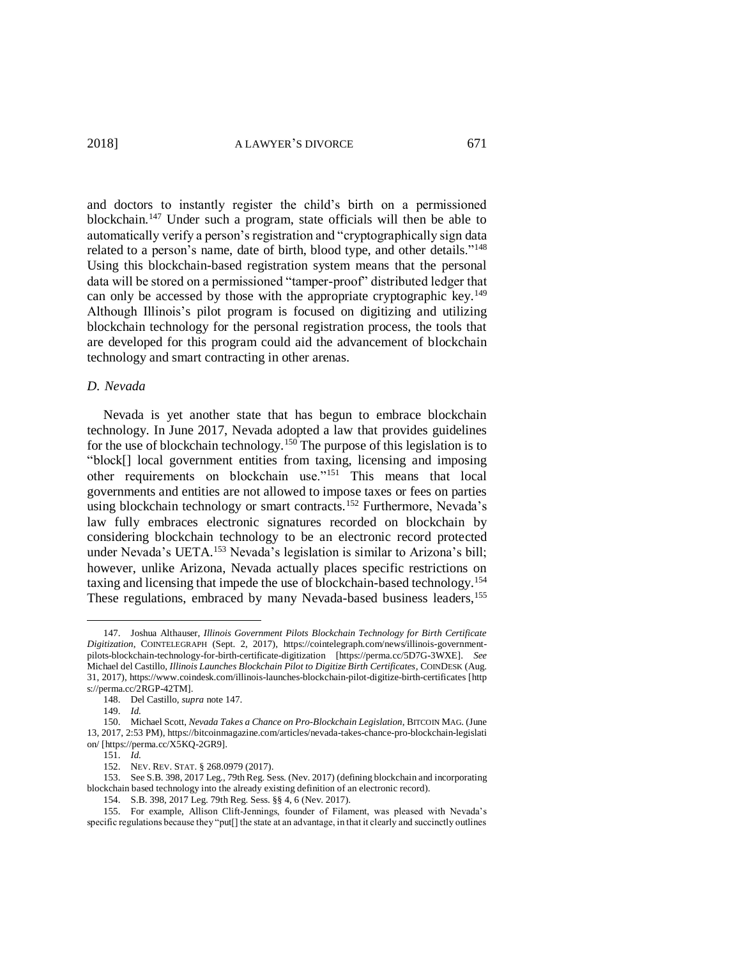<span id="page-22-0"></span>and doctors to instantly register the child's birth on a permissioned blockchain.<sup>147</sup> Under such a program, state officials will then be able to automatically verify a person's registration and "cryptographically sign data related to a person's name, date of birth, blood type, and other details."<sup>148</sup> Using this blockchain-based registration system means that the personal data will be stored on a permissioned "tamper-proof" distributed ledger that can only be accessed by those with the appropriate cryptographic key.<sup>149</sup> Although Illinois's pilot program is focused on digitizing and utilizing blockchain technology for the personal registration process, the tools that are developed for this program could aid the advancement of blockchain technology and smart contracting in other arenas.

#### *D. Nevada*

<span id="page-22-1"></span>Nevada is yet another state that has begun to embrace blockchain technology. In June 2017, Nevada adopted a law that provides guidelines for the use of blockchain technology.<sup>150</sup> The purpose of this legislation is to "block[] local government entities from taxing, licensing and imposing other requirements on blockchain use."<sup>151</sup> This means that local governments and entities are not allowed to impose taxes or fees on parties using blockchain technology or smart contracts.<sup>152</sup> Furthermore, Nevada's law fully embraces electronic signatures recorded on blockchain by considering blockchain technology to be an electronic record protected under Nevada's UETA.<sup>153</sup> Nevada's legislation is similar to Arizona's bill; however, unlike Arizona, Nevada actually places specific restrictions on taxing and licensing that impede the use of blockchain-based technology.<sup>154</sup> These regulations, embraced by many Nevada-based business leaders,<sup>155</sup>

<sup>147.</sup> Joshua Althauser, *Illinois Government Pilots Blockchain Technology for Birth Certificate Digitization*, COINTELEGRAPH (Sept. 2, 2017), https://cointelegraph.com/news/illinois-governmentpilots-blockchain-technology-for-birth-certificate-digitization [https://perma.cc/5D7G-3WXE]. *See*  Michael del Castillo, *Illinois Launches Blockchain Pilot to Digitize Birth Certificates*, COINDESK (Aug. 31, 2017), https://www.coindesk.com/illinois-launches-blockchain-pilot-digitize-birth-certificates [http s://perma.cc/2RGP-42TM].

<sup>148.</sup> Del Castillo, *supra* not[e 147.](#page-22-0) 

<sup>149.</sup> *Id.*

<sup>150.</sup> Michael Scott, *Nevada Takes a Chance on Pro-Blockchain Legislation*, BITCOIN MAG. (June 13, 2017, 2:53 PM), https://bitcoinmagazine.com/articles/nevada-takes-chance-pro-blockchain-legislati on/ [https://perma.cc/X5KQ-2GR9].

<sup>151.</sup> *Id.*

<sup>152.</sup> NEV. REV. STAT. § 268.0979 (2017).

<sup>153.</sup> See S.B. 398, 2017 Leg., 79th Reg. Sess. (Nev. 2017) (defining blockchain and incorporating blockchain based technology into the already existing definition of an electronic record).

<sup>154.</sup> S.B. 398, 2017 Leg. 79th Reg. Sess. §§ 4, 6 (Nev. 2017).

<sup>155.</sup> For example, Allison Clift-Jennings, founder of Filament, was pleased with Nevada's specific regulations because they "put[] the state at an advantage, in that it clearly and succinctly outlines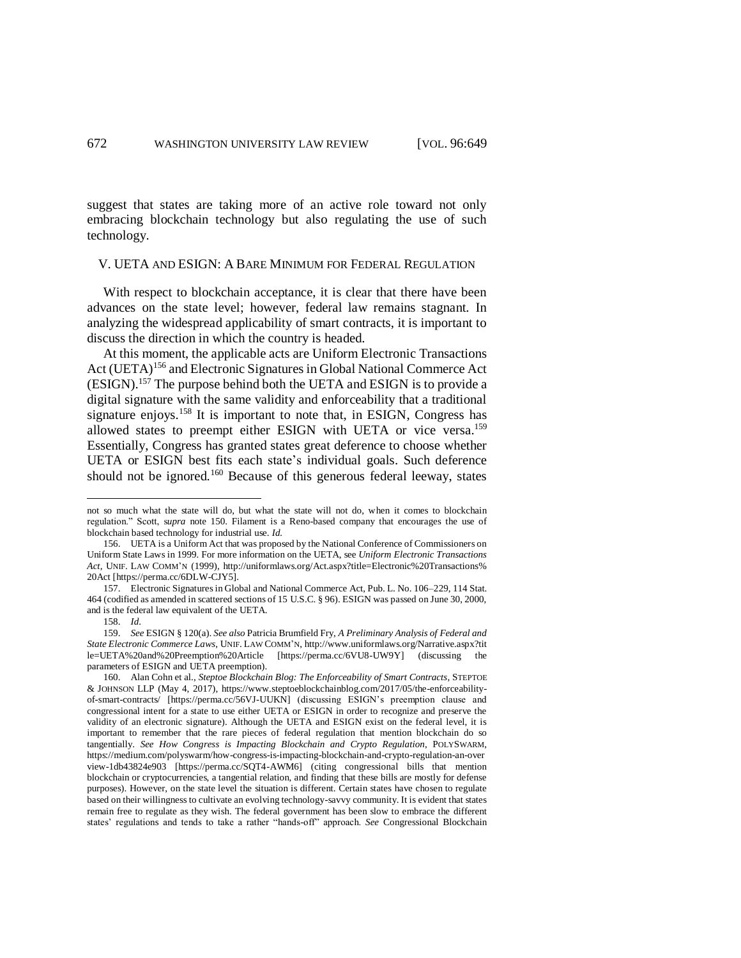suggest that states are taking more of an active role toward not only embracing blockchain technology but also regulating the use of such technology.

#### V. UETA AND ESIGN: A BARE MINIMUM FOR FEDERAL REGULATION

With respect to blockchain acceptance, it is clear that there have been advances on the state level; however, federal law remains stagnant. In analyzing the widespread applicability of smart contracts, it is important to discuss the direction in which the country is headed.

At this moment, the applicable acts are Uniform Electronic Transactions Act (UETA)<sup>156</sup> and Electronic Signatures in Global National Commerce Act (ESIGN). <sup>157</sup> The purpose behind both the UETA and ESIGN is to provide a digital signature with the same validity and enforceability that a traditional signature enjoys.<sup>158</sup> It is important to note that, in ESIGN, Congress has allowed states to preempt either ESIGN with UETA or vice versa.<sup>159</sup> Essentially, Congress has granted states great deference to choose whether UETA or ESIGN best fits each state's individual goals. Such deference should not be ignored.<sup>160</sup> Because of this generous federal leeway, states

<span id="page-23-0"></span>not so much what the state will do, but what the state will not do, when it comes to blockchain regulation." Scott, s*upra* note [150.](#page-22-1) Filament is a Reno-based company that encourages the use of blockchain based technology for industrial use. *Id.* 

<sup>156.</sup> UETA is a Uniform Act that was proposed by the National Conference of Commissioners on Uniform State Laws in 1999. For more information on the UETA, see *Uniform Electronic Transactions Act*, UNIF. LAW COMM'N (1999), http://uniformlaws.org/Act.aspx?title=Electronic%20Transactions% 20Act [https://perma.cc/6DLW-CJY5].

<sup>157.</sup> Electronic Signatures in Global and National Commerce Act, Pub. L. No. 106–229, 114 Stat. 464 (codified as amended in scattered sections of 15 U.S.C. § 96). ESIGN was passed on June 30, 2000, and is the federal law equivalent of the UETA.

<sup>158.</sup> *Id*.

<sup>159.</sup> *See* ESIGN § 120(a). *See also* Patricia Brumfield Fry, *A Preliminary Analysis of Federal and State Electronic Commerce Laws*, UNIF. LAW COMM'N, http://www.uniformlaws.org/Narrative.aspx?tit le=UETA%20and%20Preemption%20Article [https://perma.cc/6VU8-UW9Y] (discussing the parameters of ESIGN and UETA preemption).

<sup>160.</sup> Alan Cohn et al., *Steptoe Blockchain Blog: The Enforceability of Smart Contracts*, STEPTOE & JOHNSON LLP (May 4, 2017), https://www.steptoeblockchainblog.com/2017/05/the-enforceabilityof-smart-contracts/ [https://perma.cc/56VJ-UUKN] (discussing ESIGN's preemption clause and congressional intent for a state to use either UETA or ESIGN in order to recognize and preserve the validity of an electronic signature). Although the UETA and ESIGN exist on the federal level, it is important to remember that the rare pieces of federal regulation that mention blockchain do so tangentially. *See How Congress is Impacting Blockchain and Crypto Regulation*, POLYSWARM, https://medium.com/polyswarm/how-congress-is-impacting-blockchain-and-crypto-regulation-an-over view-1db43824e903 [https://perma.cc/SQT4-AWM6] (citing congressional bills that mention blockchain or cryptocurrencies, a tangential relation, and finding that these bills are mostly for defense purposes). However, on the state level the situation is different. Certain states have chosen to regulate based on their willingness to cultivate an evolving technology-savvy community. It is evident that states remain free to regulate as they wish. The federal government has been slow to embrace the different states' regulations and tends to take a rather "hands-off" approach. *See* Congressional Blockchain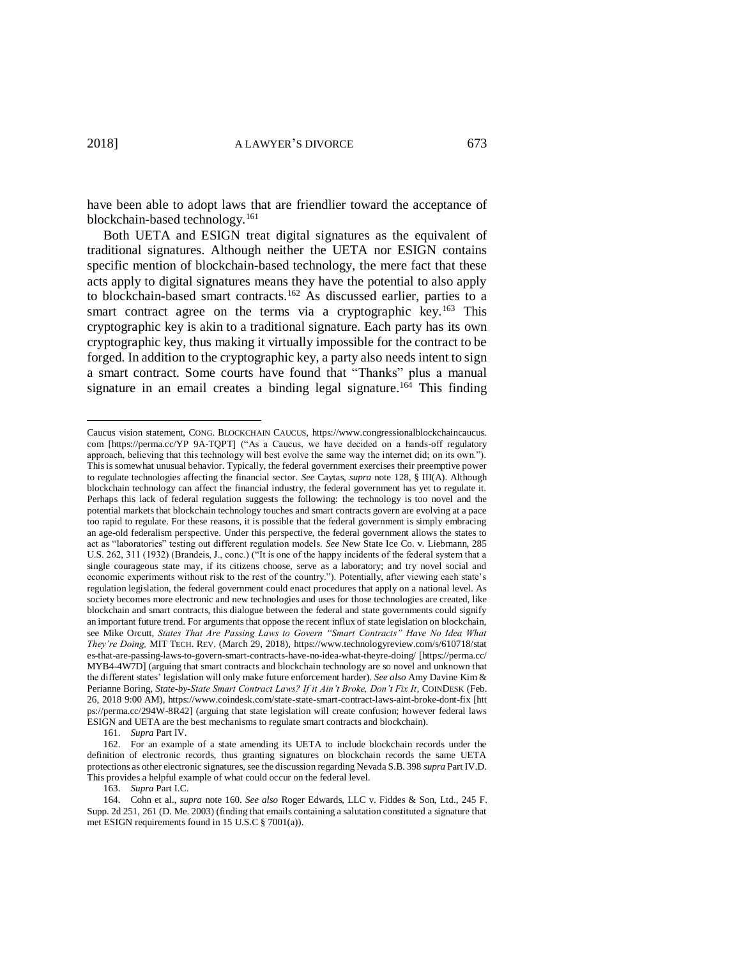have been able to adopt laws that are friendlier toward the acceptance of blockchain-based technology.<sup>161</sup>

Both UETA and ESIGN treat digital signatures as the equivalent of traditional signatures. Although neither the UETA nor ESIGN contains specific mention of blockchain-based technology, the mere fact that these acts apply to digital signatures means they have the potential to also apply to blockchain-based smart contracts.<sup>162</sup> As discussed earlier, parties to a smart contract agree on the terms via a cryptographic key.<sup>163</sup> This cryptographic key is akin to a traditional signature. Each party has its own cryptographic key, thus making it virtually impossible for the contract to be forged. In addition to the cryptographic key, a party also needs intent to sign a smart contract. Some courts have found that "Thanks" plus a manual signature in an email creates a binding legal signature.<sup>164</sup> This finding

161. *Supra* Part IV.

163. *Supra* Part I.C.

Caucus vision statement, CONG. BLOCKCHAIN CAUCUS, https://www.congressionalblockchaincaucus. com [https://perma.cc/YP 9A-TQPT] ("As a Caucus, we have decided on a hands-off regulatory approach, believing that this technology will best evolve the same way the internet did; on its own."). This is somewhat unusual behavior. Typically, the federal government exercises their preemptive power to regulate technologies affecting the financial sector. *See* Caytas, *supra* note [128,](#page-18-0) § III(A). Although blockchain technology can affect the financial industry, the federal government has yet to regulate it. Perhaps this lack of federal regulation suggests the following: the technology is too novel and the potential markets that blockchain technology touches and smart contracts govern are evolving at a pace too rapid to regulate. For these reasons, it is possible that the federal government is simply embracing an age-old federalism perspective. Under this perspective, the federal government allows the states to act as "laboratories" testing out different regulation models. *See* New State Ice Co. v. Liebmann, 285 U.S. 262, 311 (1932) (Brandeis, J., conc.) ("It is one of the happy incidents of the federal system that a single courageous state may, if its citizens choose, serve as a laboratory; and try novel social and economic experiments without risk to the rest of the country."). Potentially, after viewing each state's regulation legislation, the federal government could enact procedures that apply on a national level. As society becomes more electronic and new technologies and uses for those technologies are created, like blockchain and smart contracts, this dialogue between the federal and state governments could signify an important future trend. For arguments that oppose the recent influx of state legislation on blockchain, see Mike Orcutt, *States That Are Passing Laws to Govern "Smart Contracts" Have No Idea What They're Doing,* MIT TECH. REV. (March 29, 2018), https://www.technologyreview.com/s/610718/stat es-that-are-passing-laws-to-govern-smart-contracts-have-no-idea-what-theyre-doing/ [https://perma.cc/ MYB4-4W7D] (arguing that smart contracts and blockchain technology are so novel and unknown that the different states' legislation will only make future enforcement harder). *See also* Amy Davine Kim & Perianne Boring, *State-by-State Smart Contract Laws? If it Ain't Broke, Don't Fix It*, COINDESK (Feb. 26, 2018 9:00 AM), https://www.coindesk.com/state-state-smart-contract-laws-aint-broke-dont-fix [htt ps://perma.cc/294W-8R42] (arguing that state legislation will create confusion; however federal laws ESIGN and UETA are the best mechanisms to regulate smart contracts and blockchain).

<sup>162.</sup> For an example of a state amending its UETA to include blockchain records under the definition of electronic records, thus granting signatures on blockchain records the same UETA protections as other electronic signatures, see the discussion regarding Nevada S.B. 398 *supra* Part IV.D. This provides a helpful example of what could occur on the federal level.

<sup>164.</sup> Cohn et al., *supra* note [160.](#page-23-0) *See also* Roger Edwards, LLC v. Fiddes & Son, Ltd., 245 F. Supp. 2d 251, 261 (D. Me. 2003) (finding that emails containing a salutation constituted a signature that met ESIGN requirements found in 15 U.S.C § 7001(a)).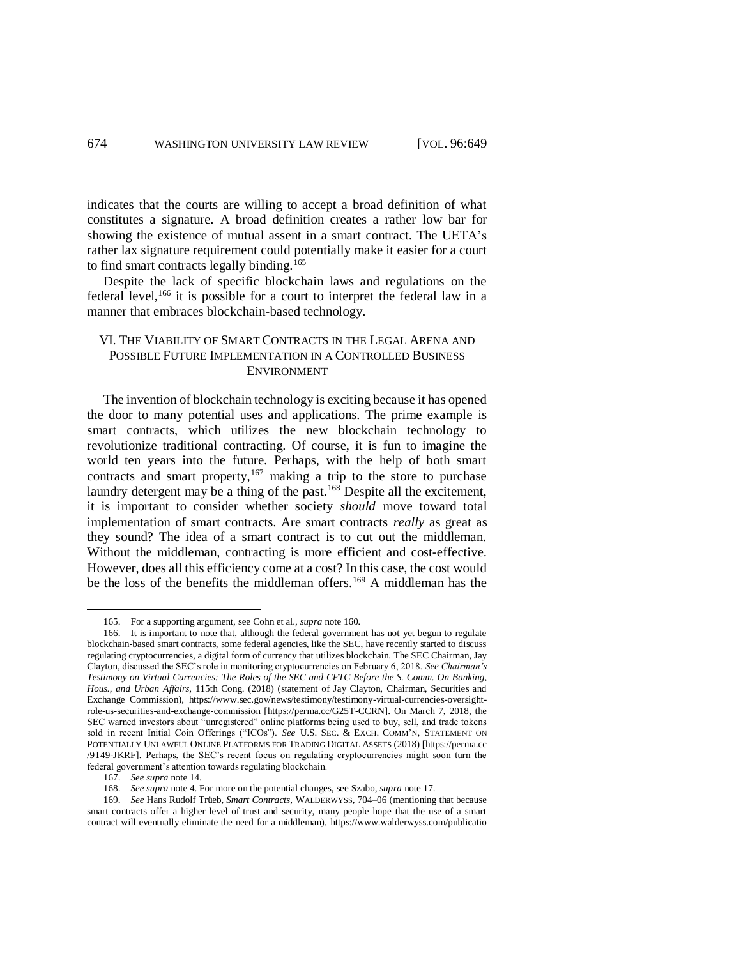indicates that the courts are willing to accept a broad definition of what constitutes a signature. A broad definition creates a rather low bar for showing the existence of mutual assent in a smart contract. The UETA's rather lax signature requirement could potentially make it easier for a court to find smart contracts legally binding.<sup>165</sup>

Despite the lack of specific blockchain laws and regulations on the federal level,<sup>166</sup> it is possible for a court to interpret the federal law in a manner that embraces blockchain-based technology.

## VI. THE VIABILITY OF SMART CONTRACTS IN THE LEGAL ARENA AND POSSIBLE FUTURE IMPLEMENTATION IN A CONTROLLED BUSINESS ENVIRONMENT

The invention of blockchain technology is exciting because it has opened the door to many potential uses and applications. The prime example is smart contracts, which utilizes the new blockchain technology to revolutionize traditional contracting. Of course, it is fun to imagine the world ten years into the future. Perhaps, with the help of both smart contracts and smart property, $167$  making a trip to the store to purchase laundry detergent may be a thing of the past.<sup>168</sup> Despite all the excitement, it is important to consider whether society *should* move toward total implementation of smart contracts. Are smart contracts *really* as great as they sound? The idea of a smart contract is to cut out the middleman. Without the middleman, contracting is more efficient and cost-effective. However, does all this efficiency come at a cost? In this case, the cost would be the loss of the benefits the middleman offers.<sup>169</sup> A middleman has the

<span id="page-25-0"></span><sup>165.</sup> For a supporting argument, see Cohn et al., *supra* not[e 160](#page-23-0)*.* 

<sup>166.</sup> It is important to note that, although the federal government has not yet begun to regulate blockchain-based smart contracts, some federal agencies, like the SEC, have recently started to discuss regulating cryptocurrencies, a digital form of currency that utilizes blockchain. The SEC Chairman, Jay Clayton, discussed the SEC's role in monitoring cryptocurrencies on February 6, 2018. *See Chairman's Testimony on Virtual Currencies: The Roles of the SEC and CFTC Before the S. Comm. On Banking, Hous., and Urban Affairs,* 115th Cong. (2018) (statement of Jay Clayton, Chairman, Securities and Exchange Commission), https://www.sec.gov/news/testimony/testimony-virtual-currencies-oversightrole-us-securities-and-exchange-commission [https://perma.cc/G25T-CCRN]. On March 7, 2018, the SEC warned investors about "unregistered" online platforms being used to buy, sell, and trade tokens sold in recent Initial Coin Offerings ("ICOs"). *See* U.S. SEC. & EXCH. COMM'N, STATEMENT ON POTENTIALLY UNLAWFUL ONLINE PLATFORMS FOR TRADING DIGITAL ASSETS (2018) [https://perma.cc /9T49-JKRF]. Perhaps, the SEC's recent focus on regulating cryptocurrencies might soon turn the federal government's attention towards regulating blockchain.

<sup>167.</sup> *See supra* note [14.](#page-2-0) 

<sup>168.</sup> *See supra* note [4.](#page-0-0) For more on the potential changes, see Szabo, *supra* note [17.](#page-3-0) 

<sup>169.</sup> *See* Hans Rudolf Trüeb, *Smart Contracts*, WALDERWYSS, 704–06 (mentioning that because smart contracts offer a higher level of trust and security, many people hope that the use of a smart contract will eventually eliminate the need for a middleman), https://www.walderwyss.com/publicatio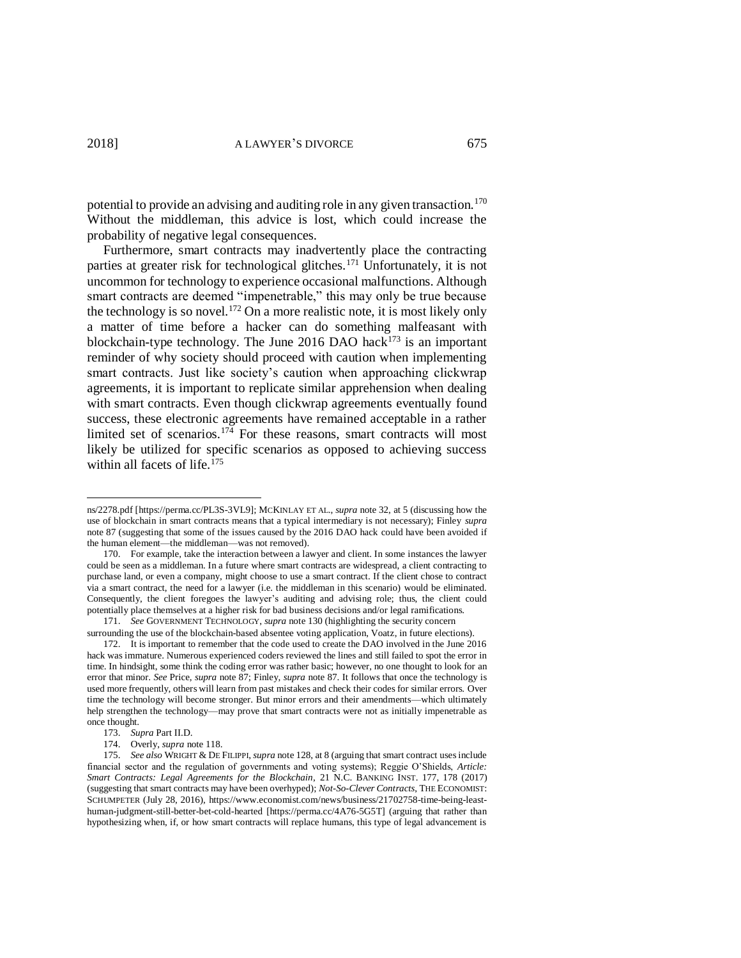potential to provide an advising and auditing role in any given transaction.<sup>170</sup> Without the middleman, this advice is lost, which could increase the probability of negative legal consequences.

Furthermore, smart contracts may inadvertently place the contracting parties at greater risk for technological glitches.<sup>171</sup> Unfortunately, it is not uncommon for technology to experience occasional malfunctions. Although smart contracts are deemed "impenetrable," this may only be true because the technology is so novel.<sup>172</sup> On a more realistic note, it is most likely only a matter of time before a hacker can do something malfeasant with blockchain-type technology. The June 2016 DAO hack $173$  is an important reminder of why society should proceed with caution when implementing smart contracts. Just like society's caution when approaching clickwrap agreements, it is important to replicate similar apprehension when dealing with smart contracts. Even though clickwrap agreements eventually found success, these electronic agreements have remained acceptable in a rather limited set of scenarios.<sup>174</sup> For these reasons, smart contracts will most likely be utilized for specific scenarios as opposed to achieving success within all facets of life.<sup>175</sup>

ns/2278.pdf [https://perma.cc/PL3S-3VL9]; MCKINLAY ET AL., *supra* not[e 32,](#page-5-1) at 5 (discussing how the use of blockchain in smart contracts means that a typical intermediary is not necessary); Finley *supra*  note [87](#page-12-2) (suggesting that some of the issues caused by the 2016 DAO hack could have been avoided if the human element—the middleman—was not removed).

<sup>170.</sup> For example, take the interaction between a lawyer and client. In some instances the lawyer could be seen as a middleman. In a future where smart contracts are widespread, a client contracting to purchase land, or even a company, might choose to use a smart contract. If the client chose to contract via a smart contract, the need for a lawyer (i.e. the middleman in this scenario) would be eliminated. Consequently, the client foregoes the lawyer's auditing and advising role; thus, the client could potentially place themselves at a higher risk for bad business decisions and/or legal ramifications.

<sup>171</sup>. *See* GOVERNMENT TECHNOLOGY, *supra* not[e 130](#page-19-0) (highlighting the security concern surrounding the use of the blockchain-based absentee voting application, Voatz, in future elections).

<sup>172.</sup> It is important to remember that the code used to create the DAO involved in the June 2016 hack was immature. Numerous experienced coders reviewed the lines and still failed to spot the error in time. In hindsight, some think the coding error was rather basic; however, no one thought to look for an error that minor. *See* Price, *supra* not[e 87;](#page-12-2) Finley, *supra* not[e 87.](#page-12-2) It follows that once the technology is used more frequently, others will learn from past mistakes and check their codes for similar errors. Over time the technology will become stronger. But minor errors and their amendments—which ultimately help strengthen the technology—may prove that smart contracts were not as initially impenetrable as once thought.

<sup>173.</sup> *Supra* Part II.D.

<sup>174.</sup> Overly, *supra* not[e 118.](#page-16-1)

<sup>175.</sup> *See also* WRIGHT & DE FILIPPI, *supra* not[e 128,](#page-18-0) at 8 (arguing that smart contract uses include financial sector and the regulation of governments and voting systems); Reggie O'Shields, *Article: Smart Contracts: Legal Agreements for the Blockchain*, 21 N.C. BANKING INST. 177, 178 (2017) (suggesting that smart contracts may have been overhyped); *Not-So-Clever Contracts*, THE ECONOMIST: SCHUMPETER (July 28, 2016), https://www.economist.com/news/business/21702758-time-being-leasthuman-judgment-still-better-bet-cold-hearted [https://perma.cc/4A76-5G5T] (arguing that rather than hypothesizing when, if, or how smart contracts will replace humans, this type of legal advancement is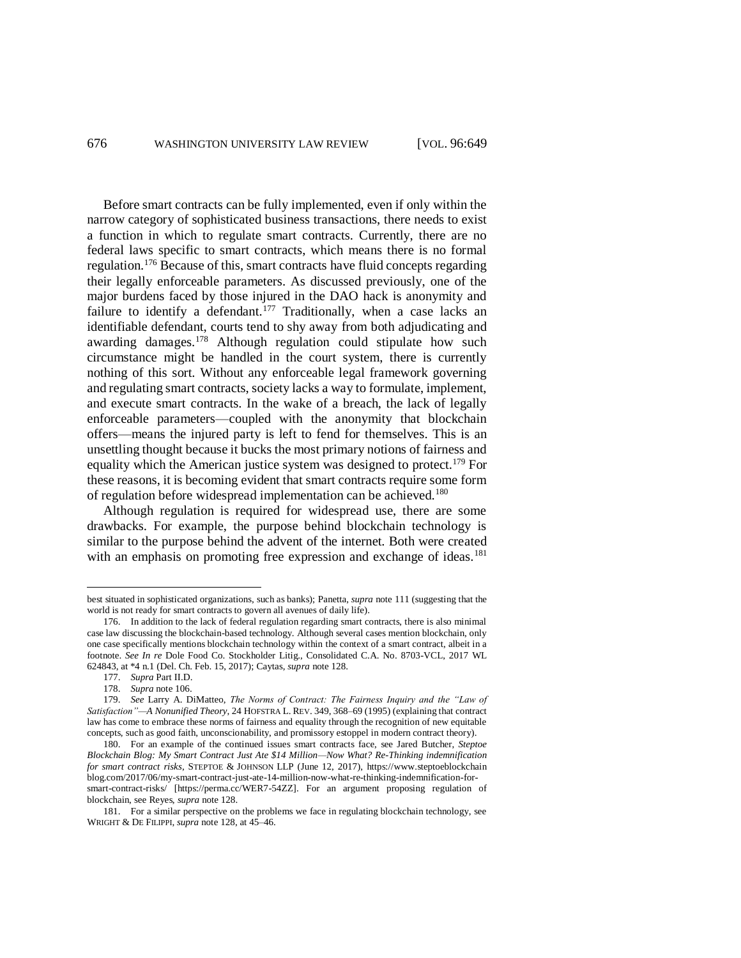Before smart contracts can be fully implemented, even if only within the narrow category of sophisticated business transactions, there needs to exist a function in which to regulate smart contracts. Currently, there are no federal laws specific to smart contracts, which means there is no formal regulation.<sup>176</sup> Because of this, smart contracts have fluid concepts regarding their legally enforceable parameters. As discussed previously, one of the major burdens faced by those injured in the DAO hack is anonymity and failure to identify a defendant.<sup>177</sup> Traditionally, when a case lacks an identifiable defendant, courts tend to shy away from both adjudicating and awarding damages.<sup>178</sup> Although regulation could stipulate how such circumstance might be handled in the court system, there is currently nothing of this sort. Without any enforceable legal framework governing and regulating smart contracts, society lacks a way to formulate, implement, and execute smart contracts. In the wake of a breach, the lack of legally enforceable parameters—coupled with the anonymity that blockchain offers—means the injured party is left to fend for themselves. This is an unsettling thought because it bucks the most primary notions of fairness and equality which the American justice system was designed to protect.<sup>179</sup> For these reasons, it is becoming evident that smart contracts require some form of regulation before widespread implementation can be achieved.<sup>180</sup>

Although regulation is required for widespread use, there are some drawbacks. For example, the purpose behind blockchain technology is similar to the purpose behind the advent of the internet. Both were created with an emphasis on promoting free expression and exchange of ideas.<sup>181</sup>

best situated in sophisticated organizations, such as banks); Panetta, *supra* not[e 111](#page-16-2) (suggesting that the world is not ready for smart contracts to govern all avenues of daily life).

<sup>176.</sup> In addition to the lack of federal regulation regarding smart contracts, there is also minimal case law discussing the blockchain-based technology. Although several cases mention blockchain, only one case specifically mentions blockchain technology within the context of a smart contract, albeit in a footnote. *See In re* Dole Food Co. Stockholder Litig., Consolidated C.A. No. 8703-VCL, 2017 WL 624843, at \*4 n.1 (Del. Ch. Feb. 15, 2017); Caytas, *supra* note [128.](#page-18-0)

<sup>177.</sup> *Supra* Part II.D.

<sup>178.</sup> *Supra* note [106.](#page-15-1) 

<sup>179.</sup> *See* Larry A. DiMatteo, *The Norms of Contract: The Fairness Inquiry and the "Law of Satisfaction"—A Nonunified Theory*, 24 HOFSTRA L. REV. 349, 368–69 (1995) (explaining that contract law has come to embrace these norms of fairness and equality through the recognition of new equitable concepts, such as good faith, unconscionability, and promissory estoppel in modern contract theory).

<sup>180.</sup> For an example of the continued issues smart contracts face, see Jared Butcher, *Steptoe Blockchain Blog: My Smart Contract Just Ate \$14 Million—Now What? Re-Thinking indemnification for smart contract risks*, STEPTOE & JOHNSON LLP (June 12, 2017), https://www.steptoeblockchain blog.com/2017/06/my-smart-contract-just-ate-14-million-now-what-re-thinking-indemnification-forsmart-contract-risks/ [https://perma.cc/WER7-54ZZ]. For an argument proposing regulation of blockchain, see Reyes, *supra* note [128.](#page-18-0) 

<sup>181.</sup> For a similar perspective on the problems we face in regulating blockchain technology, see WRIGHT & DE FILIPPI, *supra* not[e 128,](#page-18-0) at 45–46.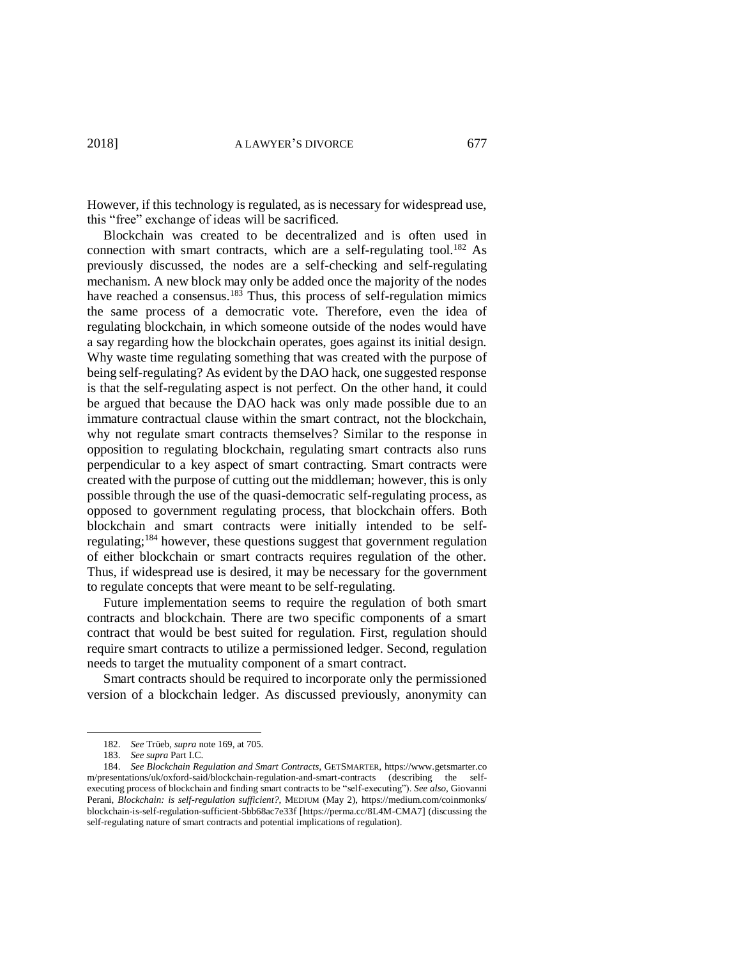However, if this technology is regulated, as is necessary for widespread use, this "free" exchange of ideas will be sacrificed.

Blockchain was created to be decentralized and is often used in connection with smart contracts, which are a self-regulating tool.<sup>182</sup> As previously discussed, the nodes are a self-checking and self-regulating mechanism. A new block may only be added once the majority of the nodes have reached a consensus.<sup>183</sup> Thus, this process of self-regulation mimics the same process of a democratic vote. Therefore, even the idea of regulating blockchain, in which someone outside of the nodes would have a say regarding how the blockchain operates, goes against its initial design. Why waste time regulating something that was created with the purpose of being self-regulating? As evident by the DAO hack, one suggested response is that the self-regulating aspect is not perfect. On the other hand, it could be argued that because the DAO hack was only made possible due to an immature contractual clause within the smart contract, not the blockchain, why not regulate smart contracts themselves? Similar to the response in opposition to regulating blockchain, regulating smart contracts also runs perpendicular to a key aspect of smart contracting. Smart contracts were created with the purpose of cutting out the middleman; however, this is only possible through the use of the quasi-democratic self-regulating process, as opposed to government regulating process, that blockchain offers. Both blockchain and smart contracts were initially intended to be selfregulating;<sup>184</sup> however, these questions suggest that government regulation of either blockchain or smart contracts requires regulation of the other. Thus, if widespread use is desired, it may be necessary for the government to regulate concepts that were meant to be self-regulating.

Future implementation seems to require the regulation of both smart contracts and blockchain. There are two specific components of a smart contract that would be best suited for regulation. First, regulation should require smart contracts to utilize a permissioned ledger. Second, regulation needs to target the mutuality component of a smart contract.

Smart contracts should be required to incorporate only the permissioned version of a blockchain ledger. As discussed previously, anonymity can

<sup>182.</sup> *See* Trüeb, *supra* not[e 169,](#page-25-0) at 705.

<sup>183.</sup> *See supra* Part I.C.

<sup>184.</sup> *See Blockchain Regulation and Smart Contracts*, GETSMARTER, https://www.getsmarter.co m/presentations/uk/oxford-said/blockchain-regulation-and-smart-contracts (describing the selfexecuting process of blockchain and finding smart contracts to be "self-executing"). *See also*, Giovanni Perani, *Blockchain: is self-regulation sufficient?*, MEDIUM (May 2), https://medium.com/coinmonks/ blockchain-is-self-regulation-sufficient-5bb68ac7e33f [https://perma.cc/8L4M-CMA7] (discussing the self-regulating nature of smart contracts and potential implications of regulation).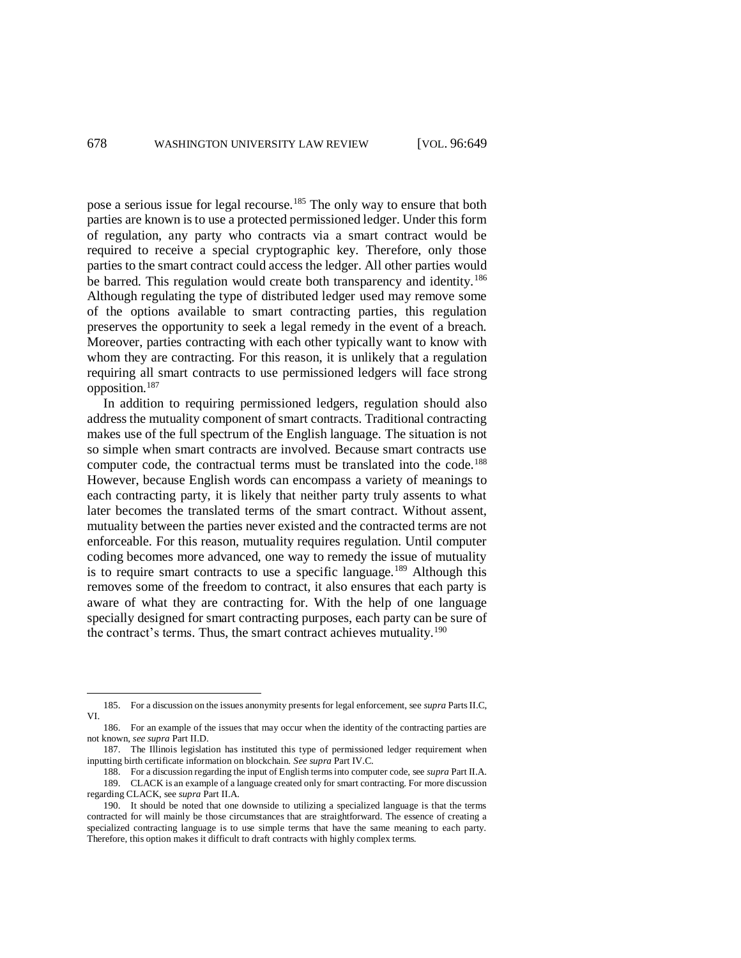pose a serious issue for legal recourse.<sup>185</sup> The only way to ensure that both parties are known is to use a protected permissioned ledger. Under this form of regulation, any party who contracts via a smart contract would be required to receive a special cryptographic key. Therefore, only those parties to the smart contract could access the ledger. All other parties would be barred. This regulation would create both transparency and identity.<sup>186</sup> Although regulating the type of distributed ledger used may remove some of the options available to smart contracting parties, this regulation preserves the opportunity to seek a legal remedy in the event of a breach. Moreover, parties contracting with each other typically want to know with whom they are contracting. For this reason, it is unlikely that a regulation requiring all smart contracts to use permissioned ledgers will face strong opposition.<sup>187</sup>

In addition to requiring permissioned ledgers, regulation should also address the mutuality component of smart contracts. Traditional contracting makes use of the full spectrum of the English language. The situation is not so simple when smart contracts are involved. Because smart contracts use computer code, the contractual terms must be translated into the code.<sup>188</sup> However, because English words can encompass a variety of meanings to each contracting party, it is likely that neither party truly assents to what later becomes the translated terms of the smart contract. Without assent, mutuality between the parties never existed and the contracted terms are not enforceable. For this reason, mutuality requires regulation. Until computer coding becomes more advanced, one way to remedy the issue of mutuality is to require smart contracts to use a specific language.<sup>189</sup> Although this removes some of the freedom to contract, it also ensures that each party is aware of what they are contracting for. With the help of one language specially designed for smart contracting purposes, each party can be sure of the contract's terms. Thus, the smart contract achieves mutuality.<sup>190</sup>

<sup>185.</sup> For a discussion on the issues anonymity presents for legal enforcement, see *supra* Parts II.C, VI.

<sup>186.</sup> For an example of the issues that may occur when the identity of the contracting parties are not known, *see supra* Part II.D.

<sup>187.</sup> The Illinois legislation has instituted this type of permissioned ledger requirement when inputting birth certificate information on blockchain. *See supra* Part IV.C.

<sup>188.</sup> For a discussion regarding the input of English terms into computer code, see *supra* Part II.A. 189. CLACK is an example of a language created only for smart contracting. For more discussion regarding CLACK, see *supra* Part II.A.

<sup>190.</sup> It should be noted that one downside to utilizing a specialized language is that the terms contracted for will mainly be those circumstances that are straightforward. The essence of creating a specialized contracting language is to use simple terms that have the same meaning to each party. Therefore, this option makes it difficult to draft contracts with highly complex terms.